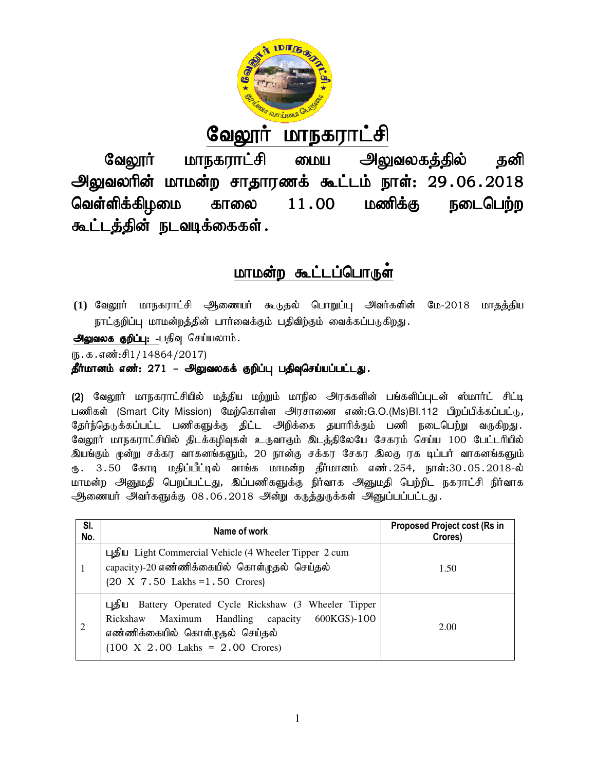

# <u>வேலூர் மாநகராட்சி</u>

வேலூர் மாநகராட்சி மைய அலுவலகத்தில் தனி வேலூர் மாநகராட்சி மைய அலுவலகத்தில் தனி<br>அலுவலரின் மாமன்ற சாதாரணக் கூட்டம் நாள்: 29.06.2018 வெள்ளிக்கிழமை காலை கூட்டத்தின் நடவடிக்கைகள்.  $11.00$  மணிக்கு நடைபெற்ற

## <u>மாமன்ற கூட்டப்பொருள்</u>

**(1) வேலூர்** மாநகராட்சி ஆணையர் கூடுதல் பொறுப்பு அவர்களின் நாட்குறிப்பு மாமன்றத்தின் பார்வைக்கும் பதிவிற்கும் வைக்கப்படுகிறது. மே-2018 மாதத்திய

அலுவலக குறிப்பு: -பதிவு செய்யலாம்.

 $(5.5.5.5\text{...})$ 

## தீர்மானம் எண்: 271 – அலுவலகக் குறிப்பு பதிவுசெய்யப்பட்டது.

(2) வேலூர் மாநகராட்சியில் மத்திய மற்றும் மாநில அரசுகளின் பங்களிப்புடன் ஸ்மார்ட் சிட்டி பணிகள் (Smart City Mission) மேற்கொள்ள அரசாணை எண்:G.O.(Ms)BI.112 பிறப்பிக்கப்பட்டு, தோந்தெடுக்கப்பட்ட பணிகளுக்கு திட்ட அறிக்கை தயாரிக்கும் பணி நடைபெற்று வருகிறது. வேலூர் மாநகராட்சியில் திடக்கழிவுகள் உருவாகும் இடத்திலேயே சேகரம் செய்ய 100 பேட்டரியில் இயங்கும் முன்று சக்கர வாகனங்களும், 20 நான்கு சக்கர சேகர இலகு ரக டிப்பர் வாகனங்களும் ரு. 3.50 கோடி மதிப்பீட்டில் வாங்க மாமன்ற தீர்மானம் எண்.254, நாள்:30.05.2018 மாமன்ற அனுமதி பெறப்பட்டது, இப்பணிகளுக்கு நிர்வாக அனுமதி பெற்றிட நகராட்சி நிர்வாக ஆணையர் அவர்களுக்கு 08.06.2018 அன்று கருத்துருக்கள் அனுப்பப்பட்டது. தோந்தெடுக்கப்பட்ட பணிகளுக்கு திட்ட அறிக்கை தயாரிக்கும் பணி நடைபெற்று வருகிறது.<br>வேலூர் மாநகராட்சியில் திடக்கழிவுகள் உருவாகும் இடத்திலேயே சேகரம் செய்ய 100 பேட்டரியில்<br>இயங்கும் முன்று சக்கர வாகனங்களும், 20 நான்கு சக்கர சேகர

| SI.<br>No. | Name of work                                                                                                                                                                                                  | <b>Proposed Project cost (Rs in</b><br>Crores) |
|------------|---------------------------------------------------------------------------------------------------------------------------------------------------------------------------------------------------------------|------------------------------------------------|
| 1          | புதிய Light Commercial Vehicle (4 Wheeler Tipper 2 cum<br>capacity)-20 எண்ணிக்கையில் கொள்முதல் செய்தல்<br>$(20 \ X \ 7.50$ Lakhs = 1.50 Crores)                                                               | 1.50                                           |
| 2          | புதிய Battery Operated Cycle Rickshaw (3 Wheeler Tipper<br>600KGS)-100<br>Rickshaw Maximum Handling capacity<br>எண்ணிக்கையில் கொள்முதல் செய்தல்<br>$(100 \text{ X } 2.00 \text{ Lakhs} = 2.00 \text{ Cross})$ | 2.00                                           |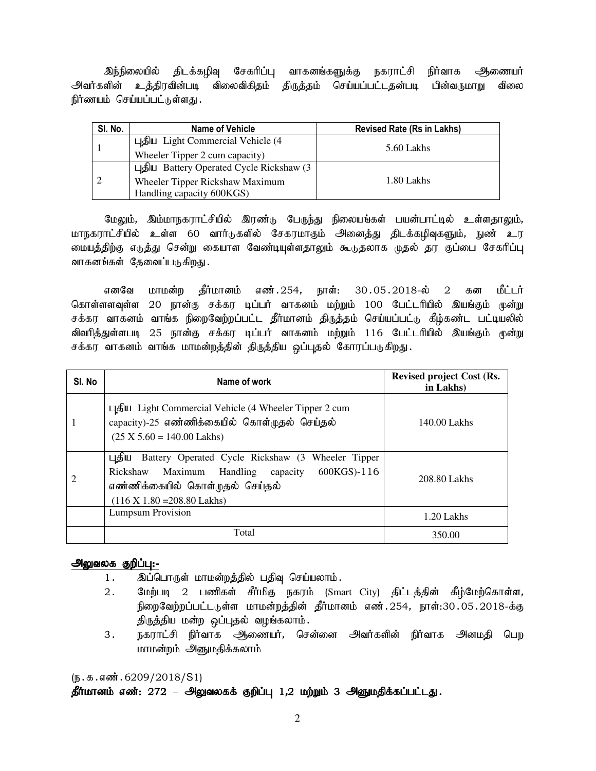இந்நிலையில் திடக்கழிவு சேகரிப்பு வாகனங்களுக்கு நகராட்சி நிர்வாக ஆணையர் அவர்களின் உத்திரவின்படி விலைவிகிதம் திருத்தம் செய்யப்பட்டதன்படி பின்வருமாறு விலை நிர்ணயம் செய்யப்பட்டுள்ளது.

| SI. No. | Name of Vehicle                          | <b>Revised Rate (Rs in Lakhs)</b> |
|---------|------------------------------------------|-----------------------------------|
|         | புதிய Light Commercial Vehicle $(4)$     |                                   |
|         | Wheeler Tipper 2 cum capacity)           | 5.60 Lakhs                        |
|         | புதிய Battery Operated Cycle Rickshaw (3 |                                   |
|         | Wheeler Tipper Rickshaw Maximum          | 1.80 Lakhs                        |
|         | Handling capacity 600KGS)                |                                   |

மேலும், இம்மாநகராட்சியில் இரண்டு பேருந்து நிலையங்கள் பயன்பாட்டில் உள்ளதாலும், மாநகராட்சியில் உள்ள 60 வார்டுகளில் சேகரமாகும் அனைத்து திடக்கழிவுகளும், நுண் உர மையத்திற்கு எடுத்து சென்று கையாள வேண்டியுள்ளதாலும் கூடுதலாக முதல் தர குப்பை சேகரிப்பு வாகனங்கள் தேவைப்படுகிறது.

எனவே மாமன்ற கீர்மானம் எண்.254, நாள்: 30.05.2018-ல் 2 கன மீட்டர் கொள்ளளவுள்ள 20 நான்கு சக்கர டிப்பர் வாகனம் மற்றும் 100 பேட்டரியில் இயங்கும் முன்று சக்கர வாகனம் வாங்க நிறைவேற்றப்பட்ட தீர்மானம் திருத்தம் செய்யப்பட்டு கீழ்கண்ட பட்டியலில் விவரித்துள்ளபடி 25 நான்கு சக்கர டிப்பர் வாகனம் மற்றும் 116 பேட்டரியில் இயங்கும் முன்று சக்கர வாகனம் வாங்க மாமன்றத்தின் திருத்திய ஒப்புதல் கோரப்படுகிறது.

| SI. No | Name of work                                                                                                                                                                                         | <b>Revised project Cost (Rs.</b><br>in Lakhs) |
|--------|------------------------------------------------------------------------------------------------------------------------------------------------------------------------------------------------------|-----------------------------------------------|
|        | புதிய Light Commercial Vehicle (4 Wheeler Tipper 2 cum<br>capacity)-25 எண்ணிக்கையில் கொள்முதல் செய்தல்<br>$(25 X 5.60 = 140.00 Lakhs)$                                                               | 140.00 Lakhs                                  |
|        | புதிய<br>Battery Operated Cycle Rickshaw (3 Wheeler Tipper<br>600KGS)-116<br>Rickshaw Maximum Handling capacity<br>எண்ணிக்கையில் கொள்முதல் செய்தல்<br>$(116 \text{ X } 1.80 = 208.80 \text{ Lakhs})$ | 208.80 Lakhs                                  |
|        | <b>Lumpsum Provision</b>                                                                                                                                                                             | 1.20 Lakhs                                    |
|        | Total                                                                                                                                                                                                | 350.00                                        |

## அலுவலக குறிப்பு:-

- 1. இப்பொருள் மாமன்றத்தில் பதிவு செய்யலாம்.
- 2. மேற்படி 2 பணிகள் சீர்மிகு நகரம் (Smart City) திட்டத்தின் கீழ்மேற்கொள்ள, நிறைவேற்றப்பட்டடுள்ள மாமன்றத்தின் தீர்மானம் எண்.254, நாள்:30.05.2018-க்கு திருத்திய மன்ற ஒப்புதல் வழங்கலாம்.
- 3. நகராட்சி நிர்வாக ஆணையர், சென்னை அவர்களின் நிர்வாக அனமதி பெற மாமன்றம் அனுமதிக்கலாம்

 $(\mathbf{b}.\mathbf{a}.\mathbf{a} \cdot \mathbf{w}.\mathbf{b}.\mathbf{c}209/2018/S1)$ 

தீர்மானம் எண்: 272 – அலுவலகக் குறிப்பு 1,2 மற்றும் 3 அனுமதிக்கப்பட்டது.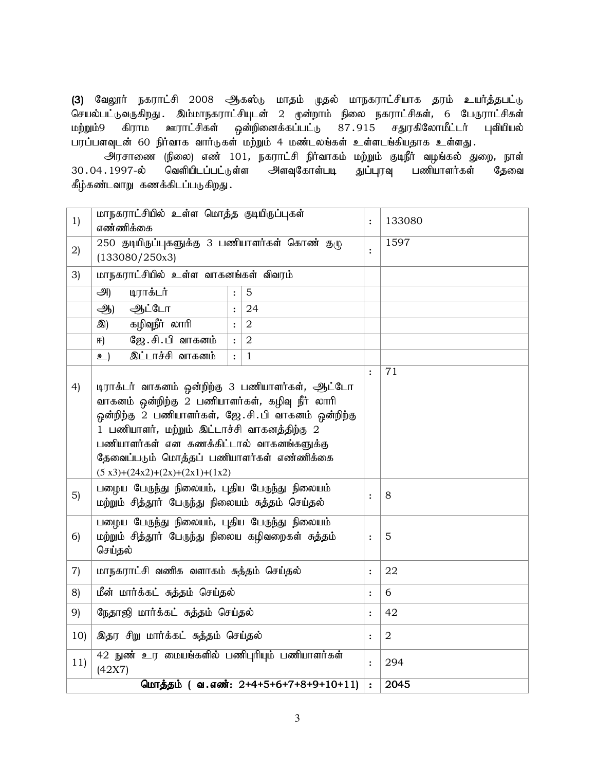(3) வேலூர் நகராட்சி 2008 ஆகஸ்டு மாதம் முதல் மாநகராட்சியாக தரம் உயர்த்தபட்டு செயல்பட்டுவருகிறது . இம்மாநகராட்சியுடன் 2 முன்றாம் நிலை நகராட்சிகள், 6 பேருராட்சிகள்<br>மற்றும்9 கிராம ஊராட்சிகள் ஒன்றினைக்கப்பட்டு 87 915 சதுரகிலோமீட்டர் புவியியல் மற்றும்9 கிராம ஊராட்சிகள் ஒன்றினைக்கப்பட்டு 87.915 சதுரகிலோமீட்டர் புவியியல் பரப்பளவுடன் 60 நிர்வாக வார்டுகள் மற்றும் 4 மண்டலங்கள் உள்ளடங்கியதாக உள்ளது.

அரசாணை (நிலை) எண் 101, நகராட்சி நிர்வாகம் மற்றும் குடிநீர் வழங்கல் துறை, நாள்<br>.1997-ல் வெளியிடப்பட்டுள்ள அளவுகோள்படி துப்புரவு பணியாளர்கள் தேவை 30.04.1997-ல் வெளியிடப்பட்டுள்ள அளவுகோள்படி துப்புரவு பணியாளர்கள் தேவை கீழ்கண்டவாறு கணக்கிடப்படுகிறது.

| 1)                | மாநகராட்சியில் உள்ள மொத்த குடியிருப்புகள்<br>எண்ணிக்கை                                                                                                                                                                                                                                                                                |                  |                                      | $\ddot{\cdot}$ | 133080         |
|-------------------|---------------------------------------------------------------------------------------------------------------------------------------------------------------------------------------------------------------------------------------------------------------------------------------------------------------------------------------|------------------|--------------------------------------|----------------|----------------|
| 2)                | 250 குடியிருப்புகளுக்கு 3 பணியாளர்கள் கொண் குழு<br>(133080/250x3)                                                                                                                                                                                                                                                                     |                  |                                      | $\ddot{\cdot}$ | 1597           |
| 3)                | மாநகராட்சியில் உள்ள வாகனங்கள் விவரம்                                                                                                                                                                                                                                                                                                  |                  |                                      |                |                |
|                   | அ<br>டிராக்டர்                                                                                                                                                                                                                                                                                                                        | $\ddot{\cdot}$   | $\overline{5}$                       |                |                |
|                   | ஆட்டோ<br>$\mathcal{B}$                                                                                                                                                                                                                                                                                                                | $\ddot{\cdot}$   | 24                                   |                |                |
|                   | கழிவுநீர் லாரி<br>இ)                                                                                                                                                                                                                                                                                                                  | $\mathbf{\cdot}$ | $\overline{2}$                       |                |                |
|                   | ஜே.சி.பி வாகனம்<br>田)                                                                                                                                                                                                                                                                                                                 | $\ddot{\cdot}$   | $\overline{2}$                       |                |                |
|                   | <u>இட்டாச்சி வாகனம்</u><br>உ)                                                                                                                                                                                                                                                                                                         | $\ddot{\cdot}$   | $\mathbf{1}$                         |                |                |
| 4)                | டிராக்டர் வாகனம் ஒன்றிற்கு 3 பணியாளர்கள், ஆட்டோ<br>வாகனம் ஒன்றிற்கு 2 பணியாளர்கள், கழிவு நீர் லாரி<br>ஒன்றிற்கு 2 பணியாளர்கள், ஜே.சி.பி வாகனம் ஒன்றிற்கு<br>1 பணியாளர், மற்றும் இட்டாச்சி வாகனத்திற்கு 2<br>பணியாளர்கள் என கணக்கிட்டால் வாகனங்களுக்கு<br>தேவைப்படும் மொத்தப் பணியாளர்கள் எண்ணிக்கை<br>$(5x3)+(24x2)+(2x)+(2x1)+(1x2)$ |                  | $\cdot$                              | 71             |                |
| 5)                | பழைய பேருந்து நிலையம், புதிய பேருந்து நிலையம்<br>மற்றும் சித்தூர் பேருந்து நிலையம் சுத்தம் செய்தல்                                                                                                                                                                                                                                    |                  |                                      | $\ddot{\cdot}$ | 8              |
| 6)                | பழைய பேருந்து நிலையம், புதிய பேருந்து நிலையம்<br>மற்றும் சித்தூர் பேருந்து நிலைய கழிவறைகள் சுத்தம்<br>செய்தல்                                                                                                                                                                                                                         |                  | $\ddot{\cdot}$                       | 5              |                |
| $\left( 7\right)$ | மாநகராட்சி வணிக வளாகம் சுத்தம் செய்தல்                                                                                                                                                                                                                                                                                                |                  |                                      | $\ddot{\cdot}$ | 22             |
| 8)                | மீன் மார்க்கட் சுத்தம் செய்தல்                                                                                                                                                                                                                                                                                                        |                  |                                      | $\ddot{\cdot}$ | 6              |
| 9)                | நேதாஜி மார்க்கட் சுத்தம் செய்தல்                                                                                                                                                                                                                                                                                                      |                  |                                      | $\ddot{\cdot}$ | 42             |
| 10)               | இதர சிறு மார்க்கட் சுத்தம் செய்தல்                                                                                                                                                                                                                                                                                                    |                  |                                      | $\ddot{\cdot}$ | $\overline{a}$ |
| 11)               | 42 நுண் உர மையங்களில் பணிபுரியும் பணியாளர்கள்<br>(42X7)                                                                                                                                                                                                                                                                               |                  |                                      | $\ddot{\cdot}$ | 294            |
|                   |                                                                                                                                                                                                                                                                                                                                       |                  | மொத்தம் (வ.எண்: 2+4+5+6+7+8+9+10+11) | $\ddot{\cdot}$ | 2045           |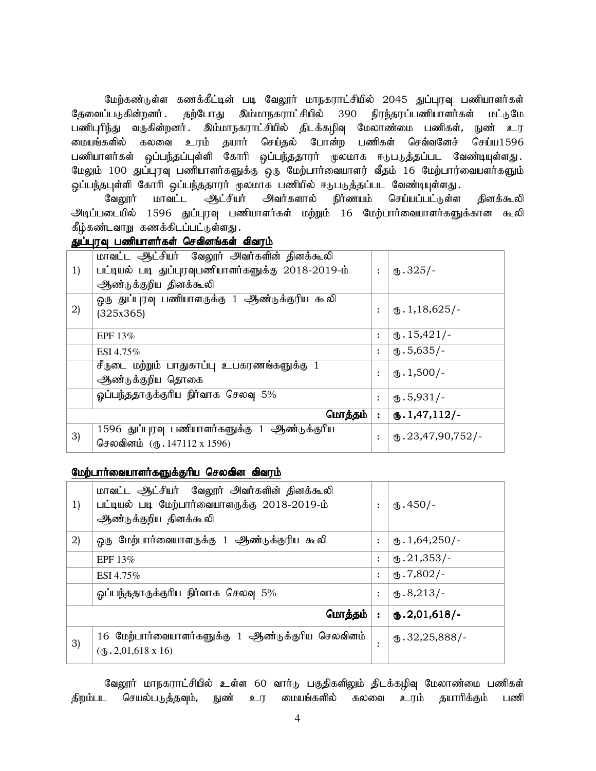மேற்கண்டுள்ள கணக்கீட்டின் படி வேலூர் மாநகராட்சியில் 2045 துப்புரவு பணியாளர்கள் தேவைப்படுகின்றனர் . தற்போது இம்மாநகராட்சியில் 390 நிரந்தரப்பணியாளர்கள் மட்டுமே பணிபுரிந்து வருகின்றனர். இம்மாநகராட்சியில் திடக்கழிவு மேலாண்மை பணிகள், நுண் உர டையங்களில் கலவை உரம் தயார் செய்தல் போன்ற பணிகள் செவ்வனேச் செய்ய1596 பணியாளர்கள் ஒப்பந்தப்புள்ளி கோரி ஒப்பந்ததாரர் முலமாக ஈடுபடுத்தப்பட வேண்டியுள்ளது. மேலும் 100 துப்புரவு பணியாளர்களுக்கு ஒரு மேற்பார்வையாளர் வீதம் 16 மேற்பார்வையளர்களும் <u>ஒ</u>ப்பந்தபுள்ளி கோரி ஒப்பந்ததாரா் முலமாக பணியில் ஈடுபடுத்தப்பட வேண்டியுள்ளது.

வேலூர் மாவட்ட <del>ஆ</del>ட்சியர் அவர்களால் நிர்ணயம் செய்யப்பட்டுள்ள தினக்கூலி <u>அடிப்படையில் 1596 துப்புரவு பணியாளர்கள் மற்றும் 16 மேற்பார்வையாளர்களுக்கான கூலி</u> கீழ்கண்டவாறு கணக்கிடப்பட்டுள்ளது.

## துப்புரவு பணியாளர்கள் செவினங்கள் விவரம்

|    | மாவட்ட ஆட்சியர் வேலூர் அவர்களின் தினக்கூலி         |                |                                       |
|----|----------------------------------------------------|----------------|---------------------------------------|
| 1) | பட்டியல் படி துப்புரவுபணியாளர்களுக்கு 2018-2019-ம் | $\ddot{\cdot}$ | $(b.325/-$                            |
|    | ஆண்டுக்குறிய தினக்கூலி                             |                |                                       |
|    | ஒரு துப்புரவு பணியாளருக்கு 1 ஆண்டுக்குரிய கூலி     |                |                                       |
| 2) | (325x365)                                          | $\ddot{\cdot}$ | $\text{I}$ , 1, 18, 625/-             |
|    |                                                    |                |                                       |
|    | EPF $13\%$                                         | $\ddot{\cdot}$ | $\mathbf{I}$ . 15,421/-               |
|    | ESI 4.75%                                          | $\ddot{\cdot}$ | $(b.5,635/-$                          |
|    | சீருடை மற்றும் பாதுகாப்பு உபகரணங்களுக்கு 1         |                | $\mathbf{L}$ . 1,500/-                |
|    | ஆண்டுக்குறிய தொகை                                  | $\ddot{\cdot}$ |                                       |
|    | ஓப்பந்ததாருக்குரிய நிர்வாக செலவு 5%                | $\ddot{\cdot}$ | $(D.5,931/-$                          |
|    |                                                    |                |                                       |
|    | மொத்தம்                                            | $\ddot{\cdot}$ | $\mathbf{0.1,}47,112/$ -              |
| 3) | 1596 துப்புரவு பணியாளர்களுக்கு 1 ஆண்டுக்குரிய      | $\ddot{\cdot}$ | $\omega$ <sub>0</sub> .23,47,90,752/- |
|    | செலவினம் (ரு. 147112 x 1596)                       |                |                                       |

#### மேற்பார்வையாளர்களுக்குரிய செலவின விவரம்

| 1) | மாவட்ட ஆட்சியர் வேலூர் அவர்களின் தினக்கூலி<br>பட்டியல் படி மேற்பார்வையாளருக்கு 2018-2019-ம்<br>ஆண்டுக்குறிய தினக்கூலி | $\ddot{\cdot}$ | $(D.450/-$              |
|----|-----------------------------------------------------------------------------------------------------------------------|----------------|-------------------------|
| 2) | ஒரு மேற்பார்வையாளருக்கு 1 ஆண்டுக்குரிய கூலி                                                                           | $\ddot{\cdot}$ | $\omega$ . 1,64,250/-   |
|    | EPF $13\%$                                                                                                            | $\ddot{\cdot}$ | $\omega$ .21,353/-      |
|    | ESI 4.75%                                                                                                             | $\ddot{\cdot}$ | $\times$ 7,802/-        |
|    | ஓப்பந்ததாருக்குரிய நிர்வாக செலவு 5%                                                                                   | $\ddot{\cdot}$ | $(D.8,213)$ -           |
|    | மொத்தம்                                                                                                               | $\ddot{\cdot}$ | $\mathbf{0.2,}01,618/-$ |
| 3) | 16 மேற்பார்வையாளர்களுக்கு 1 ஆண்டுக்குரிய செலவினம்<br>$(6.2, 01, 618 \times 16)$                                       |                | $\omega$ .32,25,888/-   |

வேலூர் மாநகராட்சியில் உள்ள 60 வார்டு பகுதிகளிலும் திடக்கழிவு மேலாண்மை பணிகள் திறம்பட செயல்படுத்தவும், நுண் உர மையங்களில் கலவை உரம் தயாரிக்கும் பணி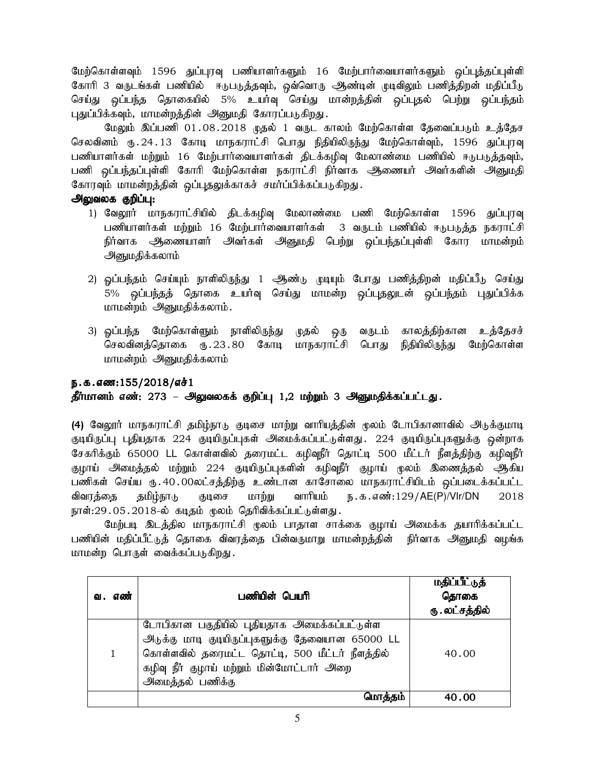மேற்கொள்ளவும் 1596 துப்புரவு பணியாளர்களும் 16 மேற்பார்வையாளர்களும் ஒப்புத்தப்புள்ளி கோரி 3 வருடங்கள் பணியில் ஈடுபடுத்தவும், ஒவ்வொரு ஆண்டின் முடிவிலும் பணித்திறன் மதிப்பீடு செய்து ஒப்பந்த தொகையில் 5% உயர்வு செய்து மான்றத்தின் ஒப்புதல் பெற்று ஒப்பந்தம் புதுப்பிக்கவும், மாமன்றத்தின் அனுமதி கோரப்படுகிறது.

மேலும் இப்பணி 01.08.2018 முதல் 1 வருட காலம் மேற்கொள்ள தேவைப்படும் உத்தேச செலவினம் ரு.24.13 கோடி மாநகராட்சி பொது நிதியிலிருந்து மேற்கொள்வும், 1596 துப்புரவு .<br>பணியாளர்கள் மற்றும் 16 மேற்பார்வையாளர்கள் திடக்கழிவு மேலாண்மை பணியில் ஈடுபடுத்தவும், பணி ஒப்பந்தப்புள்ளி கோரி மேற்கொள்ள நகராட்சி நிர்வாக ஆணையர் அவர்களின் அனுமதி கோரவும் மாமன்றத்தின் ஒப்புதலுக்காகச் சமர்ப்பிக்கப்படுகிறது.

## அலுவலக குறிப்பு:

- 1) வேலூர் மாநகராட்சியில் திடக்கழிவு மேலாண்மை பணி மேற்கொள்ள 1596 துப்புரவு பணியாளர்கள் மற்றும் 16 மேற்பார்வையாளர்கள் 3 வருடம் பணியில் ஈடுபடுத்த நகராட்சி நிர்வாக ஆணையாளர் அவர்கள் அனுமதி பெற்று ஒப்பந்தப்புள்ளி கோர மாமன்றம் அனுமதிக்கலாம்
- 2) ஒப்பந்தம் செய்யும் நாளிலிருந்து 1 ஆண்டு முடியும் போது பணித்திறன் மதிப்பீடு செய்து 5% ஒப்பந்தத் தொகை உயர்வு செய்து மாமன்ற ஒப்புதலுடன் ஒப்பந்தம் புதுப்பிக்க மாமன்றம் அனுமதிக்கலாம்.
- 3) ஓப்பந்த மேற்கொள்ளும் நாளிலிருந்து முதல் ஒரு வருடம் காலத்திற்கான உத்தேசச் செலவினத்தொகை ரூ.23.80 கோடி மாநகராட்சி பொது நிதியிலிருந்து மேற்கொள்ள மாமன்றம் அனுமதிக்கலாம்

## ந.க.எண: $155/2018/\$ எச் $1$

தீர்மானம் எண்: 273 – அலுவலகக் குறிப்பு 1,2 மற்றும் 3 அனுமதிக்கப்பட்டது.

(4) வேலூர் மாநகராட்சி தமிழ்நாடு குடிசை மாற்று வாரியத்தின் முலம் டோபிகானாவில் அடுக்குமாடி குடியிருப்பு புதியதாக 224 குடியிருப்புகள் அமைக்கப்பட்டுள்ளது. 224 குடியிருப்புகளுக்கு ஒன்றாக சேகரிக்கும் 65000 LL கொள்ளவில் தரைமட்ட கழிவுநீர் தொட்டி 500 மீட்டர் நீளத்திற்கு கழிவுநீர் குழாய் அமைத்தல் மற்றும் 224 குடியிருப்புகளின் கழிவுநீர் குழாய் முலம் இணைத்தல் ஆகிய பணிகள் செய்ய ரு.40.00லட்சத்திற்கு உண்டான காசோலை மாநகராட்சியிடம் ஒப்படைக்கப்பட்ட விவரத்தை தமிழ்நாடு குடிசை மாற்று வாரியம் ந.க.எண்:129/AE(P)/Vlr/DN 2018 நாள்:29.05.2018-ல் கடிதம் மூலம் தெரிவிக்கப்பட்டுள்ளது.

மேற்படி இடத்தில மாநகராட்சி மூலம் பாதாள சாக்கை குழாய் அமைக்க தயாரிக்கப்பட்ட பணியின் மதிப்பீட்டுத் தொகை விவரத்தை பின்வருமாறு மாமன்றத்தின் நிர்வாக அனுமதி வழங்க மாமன்ற பொருள் வைக்கப்படுகிறது.

| வ.           | எண் | பணியின் பெயரி                                                                                                                                                                                                         | மதிப்பீட்டுத்<br>தொகை<br>ரு . லட்சத்தில் |
|--------------|-----|-----------------------------------------------------------------------------------------------------------------------------------------------------------------------------------------------------------------------|------------------------------------------|
| $\mathbf{1}$ |     | டோபிகான பகுதியில் புதியதாக அமைக்கப்பட்டுள்ள<br>அடுக்கு மாடி குடியிருப்புகளுக்கு தேவையான 65000 LL<br>கொள்ளவில் தரைமட்ட தொட்டி, 500 மீட்டர் நீளத்தில்<br>கழிவு நீர் குழாய் மற்றும் மின்மோட்டார் அறை<br>அமைத்தல் பணிக்கு | 40.00                                    |
|              |     | <u>மொத்தம்</u>                                                                                                                                                                                                        | 40.00                                    |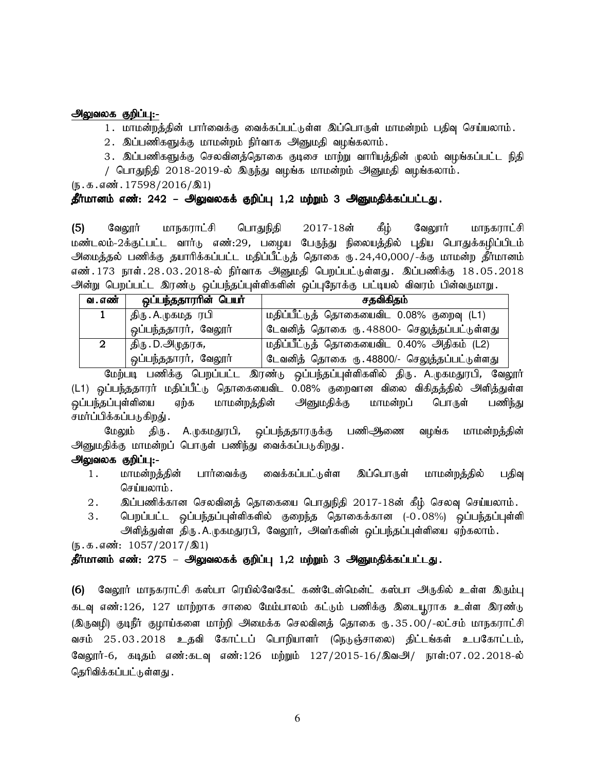1. மாமன்றத்தின் பார்வைக்கு வைக்கப்பட்டுள்ள இப்பொருள் மாமன்றம் பதிவு செய்யலாம்.

- 2. இப்பணிகளுக்கு மாமன்றம் நிர்வாக அனுமதி வழங்கலாம்.
- 3. இப்பணிகளுக்கு செலவினத்தொகை குடிசை மாற்று வாரியத்தின் முலம் வழங்கப்பட்ட நிதி

/ பொதுநிதி 2018-2019-ல் இருந்து வழங்க மாமன்றம் அனுமதி வழங்கலாம்.

 $(\mathfrak{g.5.4}$ னீ. 17598/2016/இ1)

## தீர்மானம் எண்: 242 – அலுவலகக் குறிப்பு 1,2 மற்றும் 3 அனுமதிக்கப்பட்டது.

(5) வேலூர் மாநகராட்சி பொதுநிதி 2017-18ன் கீழ் வேலூர் மாநகராட்சி மண்டலம்-2க்குட்பட்ட வார்டு எண்:29, பழைய பேருந்து நிலையத்தில் புதிய பொதுக்கழிப்பிடம் அமைத்தல் பணிக்கு தயாரிக்கப்பட்ட மதிப்பீட்டுத் தொகை ரு. 24,40,000/-க்கு மாமன்ற தீர்மானம் எண்.173 நாள்.28.03.2018-ல் நிர்வாக அனுமதி பெறப்பட்டுள்ளது. இப்பணிக்கு 18.05.2018 அன்று பெறப்பட்ட இரண்டு ஒப்பந்தப்புள்ளிகளின் ஒப்புநோக்கு பட்டியல் விவரம் பின்வருமாறு.

| வ. எண் | ஒப்பந்ததாராின் பெயா்       | சதவிகிதம்                                    |
|--------|----------------------------|----------------------------------------------|
|        | திரு . A.முகமத <i>ா</i> பி | மதிப்பீட்டுத் தொகையைவிட 0.08% குறைவு (L1)    |
|        | ஒப்பந்ததாரர், வேலூர்       | டேவனித் தொகை ரு. 48800- செலுத்தப்பட்டுள்ளது  |
|        | திரு . D.அமுதரசு <i>,</i>  | மதிப்பீட்டுத் தொகையைவிட 0.40% அதிகம் (L2)    |
|        | ஒப்பந்ததாரர், வேலூர்       | டேவனித் தொகை ரு. 48800/- செலுத்தப்பட்டுள்ளது |

மேற்படி பணிக்கு பெறப்பட்ட இரண்டு ஒப்பந்தப்புள்ளிகளில் திரு. A.முகமதுரபி, வேலூர் (L1) ஒப்பந்ததாரர் மதிப்பீட்டு தொகையைவிட 0.08% குறைவான விலை விகிதத்தில் அளித்துள்ள வப்பந்தப்புள்ளியை எற்க மாமன்றத்தின் அனுமதிக்கு மாமன்றப் பொருள் பணிந்து சமர்ப்பிக்கப்படுகிறது் .

மேலும் திரு A.முகமதுரபி, ஒப்பந்ததாரருக்கு பணி<del>ஆ</del>ணை வழங்க மாமன்றத்தின் அனுமதிக்கு மாமன்றப் பொருள் பணிந்து வைக்கப்படுகிறது.

## அலுவலக குறிப்பு:-

- 1. மாமன்றத்தின் பார்வைக்கு வைக்கப்பட்டுள்ள இப்பொருள் மாமன்றத்தில் பதிவு செய்யலாம்.
- 2. இப்பணிக்கான செலவினத் தொகையை பொதுநிதி 2017-18ன் கீழ் செலவு செய்யலாம்.
- 3. பெறப்பட்ட ஒப்பந்தப்புள்ளிகளில் குறைந்த தொகைக்கான (-0.08%) ஒப்பந்தப்புள்ளி அளித்துள்ள திரு.A.முகமதுரபி, வேலூர், அவர்களின் ஒப்பந்தப்புள்ளியை ஏற்கலாம்.

 $(\mathfrak{g.5.4}$   $\ddot{\mathfrak{su:}}: 1057/2017/\mathfrak{A}1)$ 

## தீர்மானம் எண்: 275 – அலுவலகக் குறிப்பு 1,2 மற்றும் 3 அனுமதிக்கப்பட்டது.

(6) வேலூர் மாநகராட்சி கஸ்பா ரெயில்வேகேட் கண்டேன்மென்ட் கஸ்பா அருகில் உள்ள இரும்பு கடவு எண்:126, 127 மாற்றாக சாலை மேம்பாலம் கட்டும் பணிக்கு இடையூராக உள்ள இரண்டு (இருவழி) குடிநீர் குழாய்களை மாற்றி அமைக்க செலவினத் தொகை ரு. 35.00/-லட்சம் மாநகராட்சி வசம் 25.03.2018 உதவி கோட்டப் பொறியாளர் (நெடுஞ்சாலை) திட்டங்கள் உபகோட்டம், வேலூர்-6, கடிதம் எண்:கடவு எண்:126 மற்றும் 127/2015-16/இவஅ/ நாள்:07.02.2018-ல் தெரிவிக்கப்பட்டுள்ளது .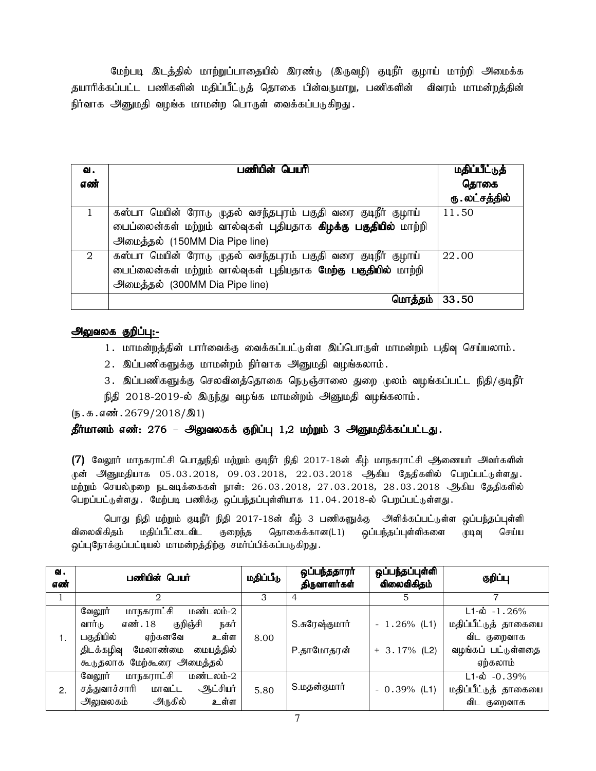மேற்படி இடத்தில் மாற்றுப்பாதையில் இரண்டு (இருவழி) குடிநீர் குழாய் மாற்றி அமைக்க தயாரிக்கப்பட்ட பணிகளின் மதிப்பீட்டுத் தொகை பின்வருமாறு, பணிகளின் விவரம் மாமன்றத்தின் நிர்வாக அனுமதி வழங்க மாமன்ற பொருள் வைக்கப்படுகிறது.

| வ.<br>எண் | பணியின் பெயரி                                                                                                                                                             | மதிப்பீட்டுத்<br>தொகை<br>ரு . லட்சத்தில் |
|-----------|---------------------------------------------------------------------------------------------------------------------------------------------------------------------------|------------------------------------------|
|           | கஸ்பா மெயின் ரோடு முதல் வசந்தபுரம் பகுதி வரை குடிநீர் குழாய்<br>பைப்லைன்கள் மற்றும் வால்வுகள் புதியதாக <b>கிழக்கு பகுதியில்</b> மாற்றி<br>அலுைத்தல் (150MM Dia Pipe line) | 11.50                                    |
| 2         | கஸ்பா மெயின் ரோடு முதல் வசந்தபுரம் பகுதி வரை குடிநீர் குழாய்<br>பைப்லைன்கள் மற்றும் வால்வுகள் புதியதாக மேற்கு பகுதியில் மாற்றி<br>அமைத்தல் (300MM Dia Pipe line)          | 22.00                                    |
|           | மொத்தம்                                                                                                                                                                   | 33.50                                    |

### அலுவலக குறிப்பு:-

- 1. மாமன்றத்தின் பார்வைக்கு வைக்கப்பட்டுள்ள இப்பொருள் மாமன்றம் பதிவு செய்யலாம்.
- 2. இப்பணிகளுக்கு மாமன்றம் நிர்வாக அனுமதி வழங்கலாம்.
- 3. இப்பணிகளுக்கு செலவினத்தொகை நெடுஞ்சாலை துறை முலம் வழங்கப்பட்ட நிதி/குடிநீர்
- நிதி 2018-2019-ல் இருந்து வழங்க மாமன்றம் அனுமதி வழங்கலாம்.

 $(\mathbf{b}.\mathbf{\Phi}.\mathbf{\sigma}\mathbf{\hat{m}}.\mathbf{2679}/2018/\mathbf{21})$ 

## தீர்மானம் எண்: 276 – அலுவலகக் குறிப்பு 1,2 மற்றும் 3 அனுமதிக்கப்பட்டது.

 $(7)$  வேலூர் மாநகராட்சி பொதுநிதி மற்றும் குடிநீர் நிதி 2017-18ன் கீழ் மாநகராட்சி ஆணையர் அவர்களின் முன் அனுமதியாக 05.03.2018, 09.03.2018, 22.03.2018 ஆகிய தேதிகளில் பெறப்பட்டுள்ளது. மற்றும் செயல்முறை நடவடிக்கைகள் நாள்: 26.03.2018, 27.03.2018, 28.03.2018 ஆகிய தேதிகளில் பெறப்பட்டுள்ளது. மேற்படி பணிக்கு ஒப்பந்தப்புள்ளியாக 11.04.2018-ல் பெறப்பட்டுள்ளது.

பொது நிதி மற்றும் குடிநீர் நிதி 2017-18ன் கீழ் 3 பணிகளுக்கு அிளிக்கப்பட்டுள்ள ஒப்பந்தப்புள்ளி விலைவிகிதம் மதிப்பீட்டைவிட குறைந்த தொகைக்கான(L1) ஒப்பந்தப்புள்ளிகளை முடிவு செய்ய ஒப்புநோக்குப்பட்டியல் மாமன்றத்திற்கு சமர்ப்பிக்கப்படுகிறது.

| வ.<br>எண் | பணியின் பெயர்                         | மதிப்பீடு | ஒப்பந்ததாரர்<br>திருவாளர்கள் | ஒப்பந்தப்புள்ளி<br>விலைவிகிதம் | குறிப்பு                     |
|-----------|---------------------------------------|-----------|------------------------------|--------------------------------|------------------------------|
|           | 2                                     | 3         | 4                            | 5                              |                              |
|           | மாநகராட்சி<br>மண்டலம்-2<br>வேலூர்     |           |                              |                                | $L1-\dot{\omega} - 1.26\%$   |
|           | குறிஞ்சி<br>வார்டு<br>எண். 18<br>நகர் |           | S.சுரேஷ்குமார்               | $-1.26\%$ (L1)                 | மதிப்பீட்டுத் தாகையை         |
| 1.        | பகுதியில்<br>ஏற்கனவே<br>உள்ள          | 8.00      |                              |                                | விட குறைவாக                  |
|           | திடக்கழிவு மேலாண்மை<br>மையத்தில்      |           | P.தாமோதரன்                   | $+ 3.17%$ (L2)                 | வழங்கப் பட்டுள்ளதை           |
|           | கூடுதலாக மேற்கூரை அமைத்தல்            |           |                              |                                | ஏற்கலாம்                     |
|           | மாநகராட்சி<br>மண்டலம்-2<br>வேலூர்     |           |                              |                                | $L1 - \dot{\omega} - 0.39\%$ |
| 2.        | ஆட்சியர்<br>சத்துவாச்சாரி<br>மாவட்ட   | 5.80      | S.மதன்குமார்                 | $-0.39\%$ (L1)                 | மதிப்பீட்டுத் தாகையை         |
|           | அருகில்<br>உள்ள<br>அலுவலகம்           |           |                              |                                | விட குறைவாக                  |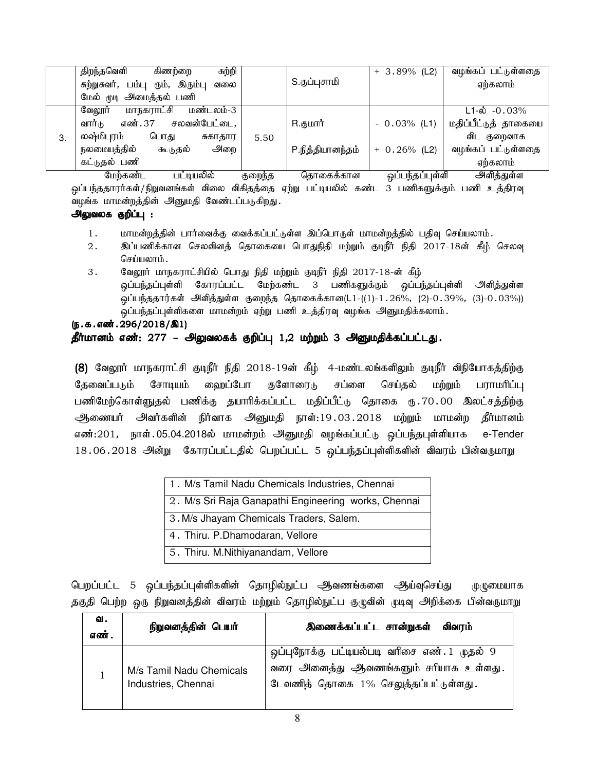|    | சுற்றி<br>திறந்தவெளி<br>கிணற்றை            |      |                      | $+3.89\%$ (L2)  | வழங்கப் பட்டுள்ளதை            |
|----|--------------------------------------------|------|----------------------|-----------------|-------------------------------|
|    | சுற்றுசுவர், பம்பு<br>ரும், இரும்பு<br>வலை |      | S.குப்புசாமி         |                 | ஏற்கலாம்                      |
|    | மேல் முடி அமைத்தல் பணி                     |      |                      |                 |                               |
|    | <u>மாநகராட்சி</u><br>மண்டலம்-3<br>வேலூர்   |      |                      |                 | $L1 - \phi$ -0.03%            |
|    | சலவன்பேட்டை,<br>வார்டு<br>எண். 37          |      | R.குமார்             | $-0.03%$ (L1)   | மதிப்பீட்டுத் தாகையை          |
| 3. | லஷ்மிபுரம்<br>பொது<br>சுகாதார              | 5.50 |                      |                 | விட குறைவாக                   |
|    | நலமையத்தில்<br>அறை<br>கூடுதல்              |      | P.நித்தியானந்தம்     | $+ 0.26\%$ (L2) | வழங்கப் பட்டுள்ளதை            |
|    | கட்டுதல் பணி                               |      |                      |                 | ஏற்கலாம்                      |
|    | $\bullet$ .<br>$\cdot$ $\circ$             |      | $\sim$ $\sim$ $\sim$ | $\cdots$        | $\mathbf{a}$ . $\mathbf{b}$ . |

மேற்கண்ட பட்டியலில் குறைந்த தொகைக்கான ஒப்பந்தப்புள்ளி அிளித்துள்ள <mark>ஒப்பந்ததாரர்கள்/நிறுவனங்கள்</mark> விலை விகிதத்தை ஏற்று பட்டியலில் கண்ட 3 பணிகளுக்கும் பணி உத்திரவு வழங்க மாமன்றத்தின் அனுமதி வேண்டப்படுகிறது.

## அலுவலக குறிப்பு :

- 1. khr மன்றத்தின் பார்வைக்கு வைக்கப்பட்டுள்ள இப்பொருள் மாமன்றத்தில் பதிவு செய்யலாம்.
- 2. இப்பணிக்கான செலவினத் தொகையை பொதுநிதி மற்றும் குடிநீர் நிதி 2017-18ன் கீழ் செலவு செய்யலாம்.
- 3. கேலூர் மாநகராட்சியில் பொது நிதி மற்றும் குடிநீர் நிதி 2017-18-ன் கீழ் <u>ஒ</u>ப்பந்தப்புள்ளி கோரப்பட்ட மேற்கண்ட 3 பணிகளுக்கும் ஒப்பந்தப்புள்ளி அிித்துள்ள ஒப்பந்ததார்கள் அிித்துள்ள குறைந்த தொகைக்கான(L1-((1)-1.26%, (2)-0.39%, (3)-0.03%)) ஒப்பந்தப்புள்ளிகளை மாமன்றம் ஏற்று பணி உத்திரவு வழங்க அனுமதிக்கலாம்.
- $(5.5.5.4\text{m}^3.296/2018/\text{m}^3)$

## தீர்மானம் எண்: 277 – அலுவலகக் குறிப்பு 1,2 மற்றும் 3 அனுமதிக்கப்பட்டது.

(8) வேலூர் மாநகராட்சி குடிநீர் நிதி 2018-19ன் கீழ் 4-மண்டலங்களிலும் குடிநீர் விநியோகத்திற்கு தேவைப்படும் சோடியம் ஹைப்போ குளோரைடு சப்ளை செய்தல் மற்றும் பராமரிப்பு பணிமேற்கொள்ளுதல் பணிக்கு தயாரிக்கப்பட்ட மதிப்பீட்டு தொகை ரூ.70.00 இலட்சத்திற்கு ஆணையர் அவர்களின் நிர்வாக அனுமதி நாள்:19.03.2018 மற்றும் மாமன்ற தீர்மானம் எண்:201, நாள்.05.04.2018ல் மாமன்றம் அனுமதி வழங்கப்பட்டு ஒப்பந்தபுள்ளியாக e-Tender 18.06.2018 அன்று கோரப்பட்டதில் பெறப்பட்ட 5 ஒப்பந்தப்புள்ளிகளின் விவரம் பின்வருமாறு

| 1. M/s Tamil Nadu Chemicals Industries, Chennai      |
|------------------------------------------------------|
| 2. M/s Sri Raja Ganapathi Engineering works, Chennai |
| 3. M/s Jhayam Chemicals Traders, Salem.              |
| 4. Thiru. P.Dhamodaran, Vellore                      |
| 5. Thiru. M.Nithiyanandam, Vellore                   |

பெறப்பட்ட 5 ஒப்பந்தப்புள்ளிகளின் தொழில்நுட்ப ஆவணங்களை ஆய்வுசெய்து முழுமையாக தகுதி பெற்ற ஒரு நிறுவனத்தின் விவரம் மற்றும் தொழில்நுட்ப குழுவின் முடிவு அறிக்கை பின்வருமாறு

| ഖ.<br>எண். | நிறுவனத்தின் பெயர்                              | இணைக்கப்பட்ட சான்றுகள்<br>விவரம்                                                                                              |
|------------|-------------------------------------------------|-------------------------------------------------------------------------------------------------------------------------------|
|            | M/s Tamil Nadu Chemicals<br>Industries, Chennai | ஒப்புநோக்கு பட்டியல்படி வரிசை எண். 1 முதல் 9<br>வரை அனைத்து ஆவணங்களும் சரியாக உள்ளது.<br>டேவணித் தொகை 1% செலுத்தப்பட்டுள்ளது. |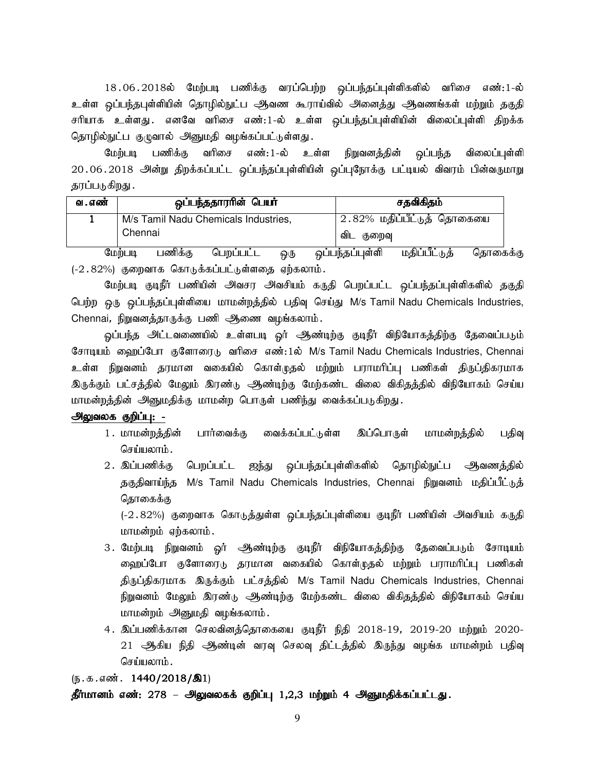18.06.2018ல் மேற்படி பணிக்கு வரப்பெற்ற ஒப்பந்தப்புள்ளிகளில் வரிசை எண்:1-ல் உள்ள ஒப்பந்தபுள்ளியின் தொழில்நுட்ப ஆவண கூராய்வில் அனைத்து ஆவணங்கள் மற்றும் தகுதி சரியாக உள்ளது .எனவே வரிசை எண்:1-ல் உள்ள ஒப்பந்தப்புள்ளியின் விலைப்புள்ளி திறக்க தொழில்நுட்ப குழுவால் அனுமதி வழங்கப்பட்டுள்ளது.

மேற்படி பணிக்கு வரிசை எண்: 1-ல் உள்ள நிறுவனத்தின் ஒப்பந்த விலைப்புள்ளி 20.06.2018 அன்று திறக்கப்பட்ட ஒப்பந்தப்புள்ளியின் ஒப்புநோக்கு பட்டியல் விவரம் பின்வருமாறு தரப்படுகிறது .

| வ . எண் | ஒப்பந்ததாரரின் பெயர்                 | சதவிகிதம்                  |
|---------|--------------------------------------|----------------------------|
|         | M/s Tamil Nadu Chemicals Industries, | 2.82% மதிப்பீட்டுத் தொகையை |
|         | Chennai                              | ் விட<br>குறைவு            |
|         | $\ldots$ $\blacksquare$<br>n.        | . 0. 0. 0. 1               |

மேற்படி பணிக்கு பெறப்பட்ட ஒரு ஒப்பந்தப்புள்ளி மதிப்பீட்டுத் தொகைக்கு (-2.82%) குறைவாக கொடுக்கப்பட்டுள்ளதை ஏற்கலாம்.

மேற்படி குடிநீர் பணியின் அவசர அவசியம் கருதி பெறப்பட்ட ஒப்பந்தப்புள்ளிகளில் தகுதி பெற்ற ஒரு ஒப்பந்தப்புள்ளியை மாமன்றத்தில் பதிவு செய்து M/s Tamil Nadu Chemicals Industries, Chennai, நிறுவனத்தாருக்கு பணி ஆணை வழங்கலாம்.

ஒப்பந்த அட்டவணையில் உள்ளபடி ஒர் அண்டிற்கு குடிநீர் விநியோகத்திற்கு தேவைப்படும் சோடியம் ஹைப்போ குளோரைடு வரிசை எண்:1ல் M/s Tamil Nadu Chemicals Industries, Chennai உள்ள நிறுவனம் தரமான வகையில் கொள்முதல் மற்றும் பராமரிப்பு பணிகள் திருப்திகரமாக இருக்கும் பட்சத்தில் மேலும் இரண்டு ஆண்டிற்கு மேற்கண்ட விலை விகிதத்தில் விநியோகம் செய்ய மாமன்றத்தின் அனுமதிக்கு மாமன்ற பொருள் பணிந்து வைக்கப்படுகிறது.

## அலுவலக குறிப்பு: -

- 1. மாமன்றத்தின் பார்வைக்கு வைக்கப்பட்டுள்ள இப்பொருள் மாமன்றத்தில் பதிவு செய்யலாம்.
- 2. இப்பணிக்கு பெறப்பட்ட ஐந்து ஒப்பந்தப்புள்ளிகளில் தொழில்நுட்ப ஆவணத்தில் தகுதிவாய்ந்த M/s Tamil Nadu Chemicals Industries, Chennai நிறுவனம் மதிப்பீட்டுத் தொகைக்கு

(-2.82%) குறைவாக கொடுத்துள்ள ஒப்பந்தப்புள்ளியை குடிநீர் பணியின் அவசியம் கருதி மாமன்றம் ஏற்கலாம்.

- 3. மேற்படி நிறுவனம் ஓர் ஆண்டிற்கு குடிநீர் விநியோகத்திற்கு தேவைப்படும் சோடியம் ஹைப்போ குளோரைடு தரமான வகையில் கொள்முதல் மற்றும் பராமரிப்பு பணிகள் திருப்திகரமாக இருக்கும் பட்சத்தில் M/s Tamil Nadu Chemicals Industries, Chennai நிறுவனம் மேலும் இரண்டு ஆண்டிற்கு மேற்கண்ட விலை விகிதத்தில் விநியோகம் செய்ய மாமன்றம் அனுமதி வழங்கலாம்.
- 4. இப்பணிக்கான செலவினத்தொகையை குடிநீர் நிதி 2018-19, 2019-20 மற்றும் 2020-21 அத்கிய நிதி அண்டின் வரவு செலவு திட்டத்தில் இருந்து வழங்க மாமன்றம் பதிவு செய்யலாம்.

(ந.க.எண். 1440/2018/ $\textcircled{3}1$ )

தீர்மானம் எண்: 278 – அலுவலகக் குறிப்பு 1,2,3 மற்றும் 4 அனுமதிக்கப்பட்டது.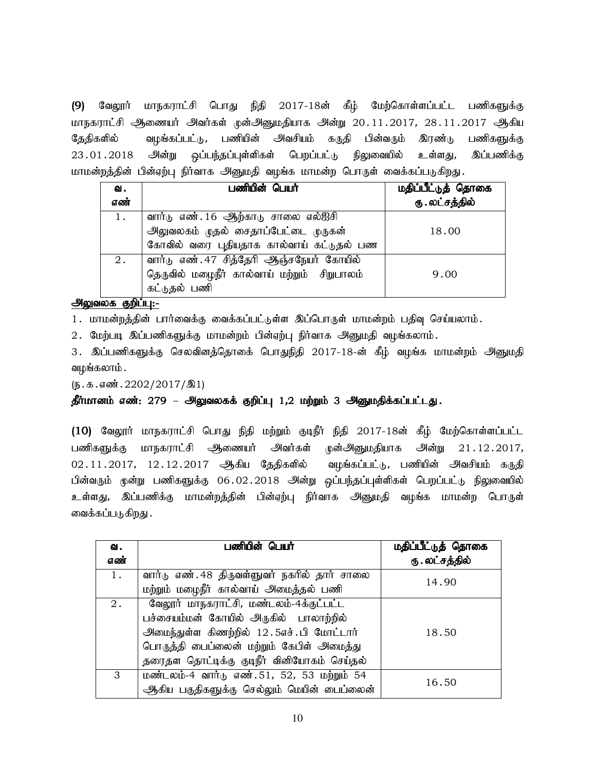(9) வேலூர் மாநகராட்சி பொது நிதி 2017-18ன் கீழ் மேற்கொள்ளப்பட்ட பணிகளுக்கு மாநகராட்சி அணையர் அவர்கள் முன்அனுமதியாக அன்று 20.11.2017, 28.11.2017 ஆகிய தேதிகளில் வழங்கப்பட்டு, பணியின் அவசியம் கருதி பின்வரும் இரண்டு பணிகளுக்கு 23.01.2018 அன்று ஒப்பந்தப்புள்ளிகள் பெறப்பட்டு நிலுவையில் உள்ளது, இப்பணிக்கு மாமன்றத்தின் பின்ஏற்பு நிர்வாக அனுமதி வழங்க மாமன்ற பொருள் வைக்கப்படுகிறது.

| வ.<br>எண் | பணியின் பெயர்                                                                                                         | மதிப்பீட்டுத் தொகை<br>ரு . லட்சத்தில் |
|-----------|-----------------------------------------------------------------------------------------------------------------------|---------------------------------------|
| 1.        | வார்டு எண். 16 ஆற்காடு சாலை எல்ஐசி<br>அலுவலகம் முதல் சைதாப்பேட்டை முருகன்<br>கோவில் வரை புதியதாக கால்வாய் கட்டுதல் பண | 18.00                                 |
| 2.        | வார்டு எண். 47 சித்தேரி ஆஞ்சநேயர் கோயில்<br>தெருவில் மழைநீர் கால்வாய் மற்றும் சிறுபாலம்<br>கட்டுதல் பணி               | 9.00                                  |

அலுவலக குறிப்பு:-

1. மாமன்றத்தின் பார்வைக்கு வைக்கப்பட்டுள்ள இப்பொருள் மாமன்றம் பதிவு செய்யலாம்.

2. மேற்படி இப்பணிகளுக்கு மாமன்றம் பின்ஏற்பு நிர்வாக அனுமதி வழங்கலாம்.

3. இப்பணிகளுக்கு செலவினத்தொகை் பொதுநிதி 2017-18-ன் கீழ் வழங்க மாமன்றம் அனுமதி வழங்கலாம் .

 $(\mathbf{b}.\mathbf{a}.\mathbf{a} \cdot \mathbf{w}$  . 2202/2017/ $\mathbf{1})$ 

தீர்மானம் எண்: 279 – அலுவலகக் குறிப்பு 1,2 மற்றும் 3 அனுமதிக்கப்பட்டது.

(10) வேலூர் மாநகராட்சி பொது நிதி மற்றும் குடிநீர் நிதி 2017-18ன் கீழ் மேற்கொள்ளப்பட்ட பணிகளுக்கு மாநகராட்சி அணையர் அவர்கள் முன்அனுமதியாக அன்று 21.12.2017,  $02.11.2017$ ,  $12.12.2017$  ஆகிய தேதிகளில் வழங்கப்பட்டு, பணியின் அவசியம் கருதி பின்வரும் முன்று பணிகளுக்கு 06.02.2018 அன்று ஒப்பந்தப்புள்ளிகள் பெறப்பட்டு நிலுவையில் உள்ளது, இப்பணிக்கு மாமன்றத்தின் பின்ஏற்பு நிர்வாக அனுமதி வழங்க மாமன்ற பொருள் வைக்கப்படுகிறது .

| ഖ.  | பணியின் பெயர்                                | மதிப்பீட்டுத் தொகை |
|-----|----------------------------------------------|--------------------|
| எண் |                                              | ரு . லட்சத்தில்    |
| 1.  | வார்டு எண். 48 திருவள்ளுவர் நகரில் தார் சாலை | 14.90              |
|     | மற்றும் மழைநீர் கால்வாய் அமைத்தல் பணி        |                    |
| 2.  | வேலூர் மாநகராட்சி, மண்டலம்-4க்குட்பட்ட       |                    |
|     | பச்சையம்மன் கோயில் அருகில் பாலாற்றில்        |                    |
|     | அமைந்துள்ள கிணற்றில் 12.5எச்.பி மோட்டார்     | 18.50              |
|     | பொருத்தி பைப்லைன் மற்றும் கேபிள் அமைத்து     |                    |
|     | தரைதள தொட்டிக்கு குடிநீர் வினியோகம் செய்தல்  |                    |
| 3   | மண்டலம்-4 வார்டு எண். 51, 52, 53 மற்றும் 54  | 16.50              |
|     | ஆகிய பகுதிகளுக்கு செல்லும் மெயின் பைப்லைன்   |                    |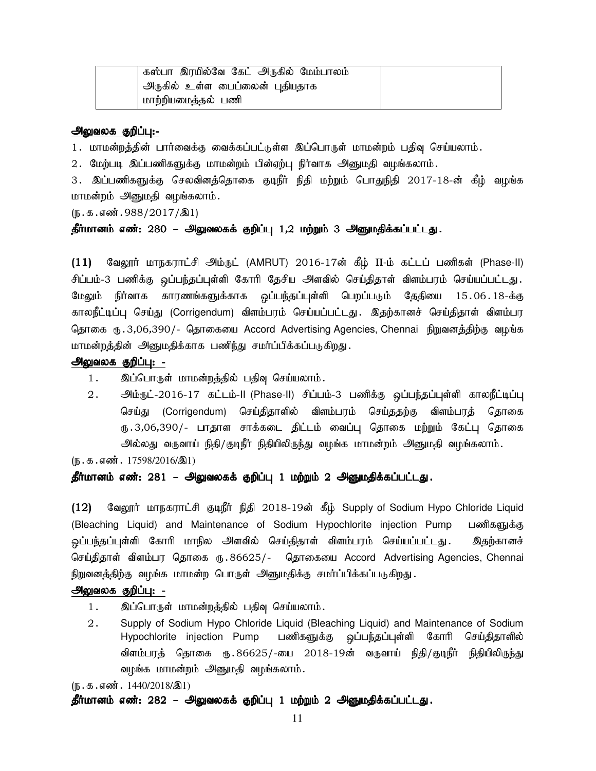| கஸ்பா இரயில்வே கேட் அருகில் மேம்பாலம் |  |
|---------------------------------------|--|
| , அருகில் உள்ள பைப்லைன் புதியதாக      |  |
| மாற்றியமைத்தல் பணி                    |  |

1. மாமன்றத்தின் பார்வைக்கு வைக்கப்பட்டுள்ள இப்பொருள் மாமன்றம் பதிவு செய்யலாம்.

2. மேற்படி இப்பணிகளுக்கு மாமன்றம் பின்ஏற்பு நிர்வாக அனுமதி வழங்கலாம்.

3. இப்பணிகளுக்கு செலவினத்தொகை குடிநீர் நிதி மற்றும் பொதுநிதி 2017-18-ன் கீழ் வழங்க மாமன்றம் அனுமதி வழங்கலாம்.

 $(\mathfrak{h}.\mathfrak{g}.\mathfrak{g}.$ எண். 988/2017/இ1)

#### தீர்மானம் எண்: 280 – அலுவலகக் குறிப்பு 1,2 மற்றும் 3 அனுமதிக்கப்பட்டது.

 $(11)$  வேலூர் மாநகராட்சி அம்ருட் (AMRUT) 2016-17ன் கீழ் II-ம் கட்டப் பணிகள் (Phase-II) சிப்பம்-3 பணிக்கு ஒப்பந்தப்புள்ளி கோரி தேசிய அளவில் செய்திதாள் விளம்பரம் செய்யப்பட்டது. மேலும் நிர்வாக காரணங்களுக்காக ஒப்பந்தப்புள்ளி பெறப்படும் தேதியை 15.06.18-க்கு காலநீட்டிப்பு செய்து (Corrigendum) விளம்பரம் செய்யப்பட்டது. இதற்கானச் செய்திதாள் விளம்பர தொகை ரு.3,06,390/- தொகையை Accord Advertising Agencies, Chennai நிறுவனத்திற்கு வழங்க மாமன்றத்தின் அனுமதிக்காக பணிந்து சமர்ப்பிக்கப்படுகிறது.

### அலுவலக குறிப்பு: -

- 1. இப்பொருள் மாமன்றத்தில் பதிவு செய்யலாம்.
- 2. ஆம்ரூட்-2016-17 கட்டம்-II (Phase-II) சிப்பம்-3 பணிக்கு ஒப்பந்தப்புள்ளி காலநீட்டிப்பு செய்து (Corrigendum) செய்திதாளில் விளம்பரம் செய்ததற்கு விளம்பரத் தொகை ரு 3,06,390/- பாதாள சாக்கடை திட்டம் வைப்பு தொகை மற்றும் கேட்பு தொகை அல்லது வருவாய் நிதி/குடிநீர் நிதியிலிருந்து வழங்க மாமன்றம் அனுமதி வழங்கலாம்.

 $(\mathbf{b} \cdot \mathbf{b} \cdot \mathbf{s} \cdot \mathbf{a} \cdot \mathbf{c} \cdot \mathbf{a} \cdot \mathbf{b} \cdot \mathbf{c} \cdot \mathbf{c} \cdot \mathbf{b} \cdot \mathbf{c} \cdot \mathbf{c} \cdot \mathbf{c} \cdot \mathbf{c} \cdot \mathbf{c} \cdot \mathbf{c} \cdot \mathbf{c} \cdot \mathbf{c} \cdot \mathbf{c} \cdot \mathbf{c} \cdot \mathbf{c} \cdot \mathbf{c} \cdot \mathbf{c} \cdot \mathbf{c} \cdot \mathbf{c} \cdot \mathbf{c} \cdot \mathbf{c} \cdot \mathbf{$ 

தீர்மானம் எண்: 281 – அலுவலகக் குறிப்பு 1 மற்றும் 2 அனுமதிக்கப்பட்டது.

(12) வேலூர் மாநகராட்சி குடிநீர் நிதி 2018-19ன் கீழ் Supply of Sodium Hypo Chloride Liquid (Bleaching Liquid) and Maintenance of Sodium Hypochlorite injection Pump பணிகளுக்கு <u>ஒ</u>ப்பந்தப்புள்ளி கோரி மாநில அளவில் செய்திதாள் விளம்பரம் செய்யப்பட்டது . இதற்கானச் செய்திதாள் விளம்பர தொகை ரு. 86625/- தொகையை Accord Advertising Agencies, Chennai நிறுவனத்திற்கு வழங்க மாமன்ற பொருள் அனுமதிக்கு சமா்ப்பிக்கப்படுகிறது.

## <u>அலுவலக</u> குறிப்பு: -

- 1. இப்பொருள் மாமன்றத்தில் பதிவு செய்யலாம்.
- 2. Supply of Sodium Hypo Chloride Liquid (Bleaching Liquid) and Maintenance of Sodium Hypochlorite injection Pump பணிகளுக்கு ஒப்பந்தப்புள்ளி கோரி செய்திதாளில் விளம்பரத் தொகை ரு.86625/-யை 2018-19ன் வருவாய் நிதி/குடிநீர் நிதியிலிருந்து வழங்க மாமன்றம் அனுமதி வழங்கலாம்.

 $(\mathbb{F} \cdot \mathbb{F} \cdot \mathbb{F} \cdot \mathbb{F} \cdot \mathbb{F} \cdot \mathbb{F} \cdot \mathbb{F} \cdot \mathbb{F} \cdot \mathbb{F} \cdot \mathbb{F} \cdot \mathbb{F} \cdot \mathbb{F} \cdot \mathbb{F} \cdot \mathbb{F} \cdot \mathbb{F} \cdot \mathbb{F} \cdot \mathbb{F} \cdot \mathbb{F} \cdot \mathbb{F} \cdot \mathbb{F} \cdot \mathbb{F} \cdot \mathbb{F} \cdot \mathbb{F} \cdot \mathbb{F} \cdot \mathbb{F} \cdot \mathbb{F} \cdot \mathbb{F} \cdot \mathbb{$ 

#### தீர்மானம் எண்: 282 – அலுவலகக் குறிப்பு 1 மற்றும் 2 அனுமதிக்கப்பட்டது.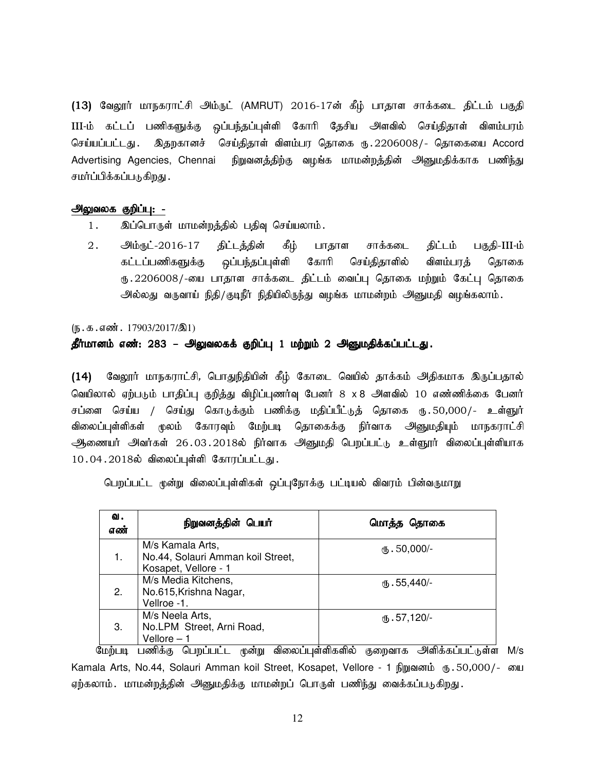(13) வேலூர் மாநகராட்சி அம்ருட் (AMRUT) 2016-17ன் கீழ் பாதாள சாக்கடை திட்டம் பகுதி III-ம் கட்டப் பணிகளுக்கு ஒப்பந்தப்புள்ளி கோரி தேசிய அளவில் செய்திதாள் விளம்பரம் செய்யப்பட்டது . இதறகானச் செய்திதாள் விளம்பர தொகை ரூ . 2206008/- தொகையை Accord Advertising Agencies, Chennai நிறுவனத்திற்கு வழங்க மாமன்றத்தின் அனுமதிக்காக பணிந்து சமர்ப்பிக்கப்படுகிறது .

#### அலுவலக குறிப்பு: -

- 1. இப்பொருள் மாமன்றத்தில் பதிவு செய்யலாம்.
- 2. அம்ரூட்-2016-17 திட்டத்தின் கீழ் பாதாள சாக்கடை திட்டம் பகுதி-III-ம் கட்டப்பணிகளுக்கு ஒப்பந்தப்புள்ளி கோரி செய்திதாளில் விளம்பரத் தொகை ரு.2206008/-யை பாதாள சாக்கடை திட்டம் வைப்பு தொகை மற்றும் கேட்பு தொகை அல்லது வருவாய் நிதி/குடிநீர் நிதியிலிருந்து வழங்க மாமன்றம் அனுமதி வழங்கலாம்.

 $(\mathbb{F} \cdot \mathbb{F} \cdot \mathbb{F} \cdot \mathbb{F} \cdot \mathbb{F} \cdot \mathbb{F} \cdot \mathbb{F} \cdot \mathbb{F} \cdot \mathbb{F} \cdot \mathbb{F} \cdot \mathbb{F} \cdot \mathbb{F} \cdot \mathbb{F} \cdot \mathbb{F} \cdot \mathbb{F} \cdot \mathbb{F} \cdot \mathbb{F} \cdot \mathbb{F} \cdot \mathbb{F} \cdot \mathbb{F} \cdot \mathbb{F} \cdot \mathbb{F} \cdot \mathbb{F} \cdot \mathbb{F} \cdot \mathbb{F} \cdot \mathbb{F} \cdot \mathbb{F} \cdot \mathbb{$ 

### தீர்மானம் எண்: 283 – அலுவலகக் குறிப்பு 1 மற்றும் 2 அனுமதிக்கப்பட்டது.

(14) வேலூர் மாநகராட்சி, பொதுநிதியின் கீழ் கோடை வெயில் தாக்கம் அதிகமாக இருப்பதால் வெயிலால் ஏற்படும் பாதிப்பு குறித்து விழிப்புணர்வு பேனர் 8 x 8 அளவில் 10 எண்ணிக்கை பேனர் சப்ளை செய்ய / செய்து கொடுக்கும் பணிக்கு மதிப்பீட்டுத் தொகை ரு.50,000/- உள்ளுர் விலைப்புள்ளிகள் முலம் கோரவும் மேற்படி தொகைக்கு நிர்வாக அனுமதியும் மாநகராட்சி ஆணையர் அவர்கள் 26.03.2018ல் நிர்வாக அனுமதி பெறப்பட்டு உள்ளூர் விலைப்புள்ளியாக  $10.04.2018$ ல் விலைப்புள்ளி கோரப்பட்டது.

பெறப்பட்ட முன்று விலைப்புள்ளிகள் ஒப்புநோக்கு பட்டியல் விவரம் பின்வருமாறு

| வ.<br>எண் | நிறுவனத்தின் பெயர்                                                            | மொத்த தொகை      |
|-----------|-------------------------------------------------------------------------------|-----------------|
|           | M/s Kamala Arts,<br>No.44, Solauri Amman koil Street,<br>Kosapet, Vellore - 1 | сђ. 50.000/-    |
| 2.        | M/s Media Kitchens,<br>No.615, Krishna Nagar,<br>Vellroe -1.                  | $(D.55,440)$ -  |
| 3.        | M/s Neela Arts,<br>No.LPM Street, Arni Road,<br>Vellore - 1                   | $(B.57, 120)$ - |

மேற்படி பணிக்கு பெறப்பட்ட முன்று விலைப்புள்ளிகளில் குறைவாக அளிக்கப்பட்டுள்ள M/s Kamala Arts, No.44, Solauri Amman koil Street, Kosapet, Vellore - 1 நிறுவனம் ரு.50,000/- யை ஏற்கலாம். மாமன்றத்தின் அனுமதிக்கு மாமன்றப் பொருள் பணிந்து வைக்கப்படுகிறது.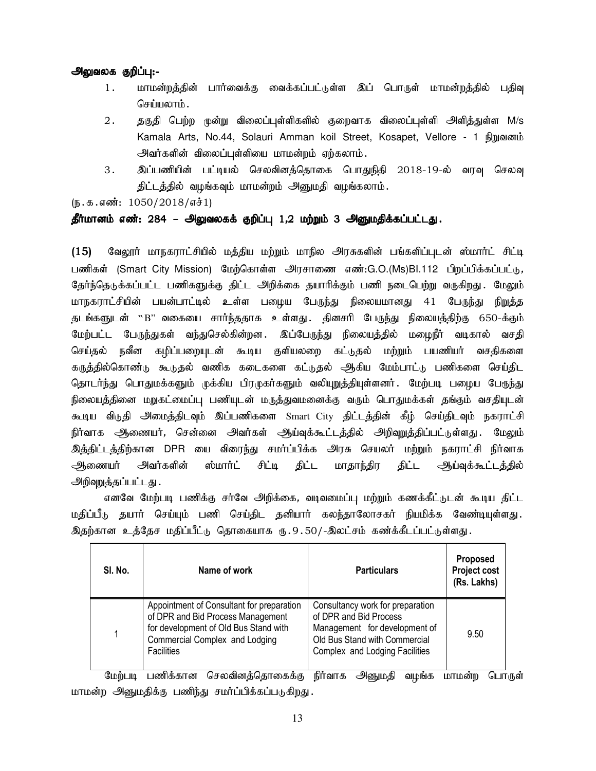- 1. மாமன்றத்தின் பார்வைக்கு வைக்கப்பட்டுள்ள இப் பொருள் மாமன்றத்தில் பதிவு செய்யலாம்.
- $2.$   $\,$  தகுதி பெற்ற மூன்று விலைப்புள்ளிகளில் குறைவாக விலைப்புள்ளி அளித்துள்ள M/s Kamala Arts, No.44, Solauri Amman koil Street, Kosapet, Vellore - 1 เป็ญฌดตน้ அவர்களின் விலைப்புள்ளியை மாமன்றம் ஏற்கலாம்.
- 3. இப்பணியின் பட்டியல் செலவினத்தொகை பொதுநிதி 2018-19-ல் வரவு செலவு திட்டத்தில் வழங்கவும் மாமன்றம் அனுமதி வழங்கலாம்.

 $(5.5.5.5\,\text{m}$ : 1050/2018/எச்1)

### தீர்மானம் எண்: 284 – அலுவலகக் குறிப்பு 1,2 மற்றும் 3 அனுமதிக்கப்பட்டது.

(15) வேலூர் மாநகராட்சியில் மத்திய மற்றும் மாநில அரசுகளின் பங்களிப்புடன் ஸ்மார்ட் சிட்டி பணிகள் (Smart City Mission) மேற்கொள்ள அரசாணை எண்:G.O.(Ms)Bl.112 பிறப்பிக்கப்பட்டு, கேர்ந்தெடுக்கப்பட்ட பணிகளுக்கு கிட்ட அிிக்கை கயாரிக்கும் பணி நடைபெற்று வருகிறது. மேலும் மாநகராட்சியின் பயன்பாட்டில் உள்ள பழைய பேருந்து நிலையமானது 41 பேருந்து நிறுத்த தடங்களுடன் ``B'' வகையை சார்ந்ததாக உள்ளது .தினசரி பேருந்து நிலையத்திற்கு 650-க்கும் மேற்பட்ட பேருந்துகள் வந்துசெல்கின்றன. இப்பேருந்து நிலையத்தில் மழைநீர் வடிகால் வசதி செய்தல் நவீன கழிப்பறையுடன் கூடிய குளியலறை கட்டுதல் மற்றும் பயணியர் வசதிகளை கருத்தில்கொண்டு கூடுதல் வணிக கடைகளை கட்டுதல் அிகிய மேம்பாட்டு பணிகளை செய்திட தொடர்ந்து பொதுமக்களும் முக்கிய பிரமுகர்களும் வலியுறுத்தியுள்ளனர். மேற்படி பழைய பேருந்து நிலையத்தினை மறுகட்மைப்பு பணியுடன் மருத்துவமனைக்கு வரும் பொதுமக்கள் தங்கும் வசதியுடன் கூடிய விடுதி அமைத்திடவும் இப்பணிகளை Smart City திட்டத்தின் கீழ் செய்திடவும் நகராட்சி நிர்வாக அிணையர், சென்னை அவர்கள் ஆய்வுக்கூட்டத்தில் அறிவுறுத்திப்பட்டுள்ளது. மேலும் இத்திட்டத்திற்கான DPR யை விரைந்து சமர்ப்பிக்க அரசு செயலர் மற்றும் நகராட்சி நிர்வாக அணையர் அவர்களின் ஸ்மார்ட் சிட்டி திட்ட மாதாந்திர திட்ட ஆய்வுக்கூட்டத்தில் அறிவுறுத்தப்பட்டது.

எனவே மேற்படி பணிக்கு சர்வே அறிக்கை, வடிவமைப்பு மற்றும் கணக்கீட்டுடன் கூடிய திட்ட மதிப்பீடு தயார் செய்யும் பணி செய்திட தனியார் கலந்தாலோசகர் நியமிக்க வேண்டியுள்ளது. இதற்கான உத்தேச மதிப்பீட்டு தொகையாக ரு.9.50/-இலட்சம் கண்க்கீடப்பட்டுள்ளது.

| SI. No. | Name of work                                                                                                                                                                   | <b>Particulars</b>                                                                                                                                             | Proposed<br><b>Project cost</b><br>(Rs. Lakhs) |
|---------|--------------------------------------------------------------------------------------------------------------------------------------------------------------------------------|----------------------------------------------------------------------------------------------------------------------------------------------------------------|------------------------------------------------|
|         | Appointment of Consultant for preparation<br>of DPR and Bid Process Management<br>for development of Old Bus Stand with<br>Commercial Complex and Lodging<br><b>Facilities</b> | Consultancy work for preparation<br>of DPR and Bid Process<br>Management for development of<br>Old Bus Stand with Commercial<br>Complex and Lodging Facilities | 9.50                                           |

மேற்படி பணிக்கான செலவினத்தொகைக்கு நிர்வாக அனுமதி வழங்க மாமன்ற பொருள் மாமன்ற அனுமதிக்கு பணிந்து சமர்ப்பிக்கப்படுகிறது.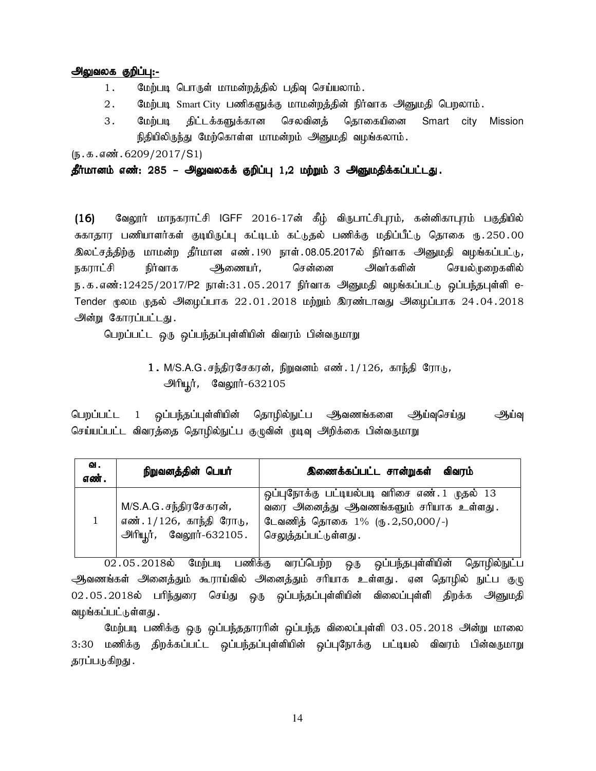- 1. மேற்படி பொருள் மாமன்றத்தில் பதிவு செய்யலாம்.
- 2. மேற்படி Smart City பணிகளுக்கு மாமன்றத்தின் நிர்வாக அனுமதி பெறலாம்.
- 3. மேற்படி திட்டக்களுக்கான செலவினக் கொகையினை Smart city Mission நிதியிலிருந்து மேற்கொள்ள மாமன்றம் அனுமதி வழங்கலாம்.

 $(\mathbf{b}.\mathbf{a}.\mathbf{a} \cdot \mathbf{w}.\mathbf{b}.\mathbf{c}209/2017/\mathbf{S}1)$ 

#### தீர்மானம் எண்: 285 – அலுவலகக் குறிப்பு 1,2 மற்றும் 3 அனுமதிக்கப்பட்டது.

 $(16)$  கேலூர் மாநகராட்சி IGFF 2016-17ன் கீழ் விருபாட்சிபுரம், கன்னிகாபுரம் பகுதியில் சுகாதார பணியாளர்கள் குடியிருப்பு கட்டிடம் கட்டுதல் பணிக்கு மதிப்பீட்டு தொகை ரு.250.00 இலட்சத்திற்கு மாமன்ற தீர்மான எண்.190 நாள்.08.05.2017ல் நிர்வாக அனுமதி வழங்கப்பட்டு, நகராட்சி நிர்வாக அணையர், சென்னை அவர்களின் செயல்முறைகளில் ந.க.எண்:12425/2017/P2 நாள்:31.05.2017 நிர்வாக அனுமதி வழங்கப்பட்டு ஒப்பந்தபுள்ளி e-Tender மூலம முதல் அீழைப்பாக 22.01.2018 மற்றும் இரண்டாவது அீழைப்பாக 24.04.2018 அன்று கோரப்பட்டது.

பெறப்பட்ட ஒரு ஒப்பந்தப்புள்ளியின் விவரம் பின்வருமாறு

 $1.$  M/S.A.G.சந்திரசேகரன், நிறுவனம் எண். $1/126$ , காந்தி ரோடு, <u>அரியூர்,</u> வேலூர்-632105

பெறப்பட்ட 1 ஒப்பந்தப்புள்ளியின் தொழில்நுட்ப அவணங்களை அூய்வுசெய்து அங்வு செய்யப்பட்ட விவரத்தை தொழில்நுட்ப குழுவின் முடிவு அறிக்கை பின்வருமாறு

| ഖ.<br>எண். | நிறுவன <u>த்</u> தின் பெயர்                                                         | இணைக்கப்பட்ட சான்றுகள் விவரம்                                                                                                                                |
|------------|-------------------------------------------------------------------------------------|--------------------------------------------------------------------------------------------------------------------------------------------------------------|
|            | M/S.A.G.சந்திரசேகரன்,<br>எண். 1/126, காந்தி ரோடு,<br><u>அரியூர், வேலூர்-632105.</u> | ஒப்புநோக்கு பட்டியல்படி வரிசை எண். 1 முதல் 13<br>வரை அனைத்து ஆவணங்களும் சரியாக உள்ளது.<br>டேவணித் தொகை 1% (ரு. 2,50,000/-)<br>செ <u>லுக்க</u> ப்பட்டுள்ளது . |

02.05.2018y; Bkw;go gzpf;F tug;bgw;w xU xg;ge;jg[s;spapd; bjhHpy;El;g ஆவணங்கள் அனைத்தும் கூராய்வில் அனைத்தும் சரியாக உள்ளது .ஏன தொழில் நுட்ப குழு 02.05.2018ல் பரிந்துரை செய்து ஒரு ஒப்பந்தப்புள்ளியின் விலைப்புள்ளி திறக்க அனுமதி வழங்கப்பட்டுள்ளது .

மேற்படி பணிக்கு ஒரு ஒப்பந்ததாரரின் ஒப்பந்த விலைப்புள்ளி 03.05.2018 அன்று மாலை 3:30 மணிக்கு திறக்கப்பட்ட ஒப்பந்தப்புள்ளியின் ஒப்புநோக்கு பட்டியல் விவரம் பின்வருமாறு தரப்படுகிறது .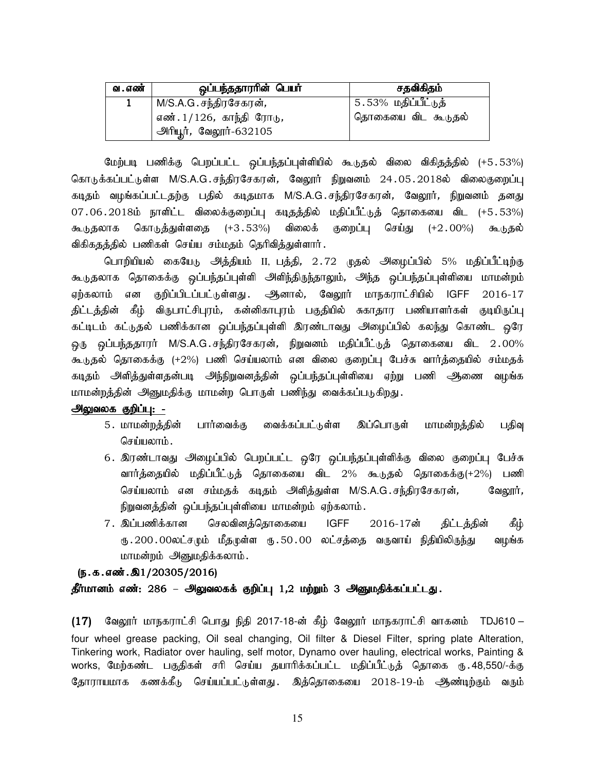| வ . எண் | ஒப்பந்ததாரரின் பெயர்                  | சதவிகிதம்                    |
|---------|---------------------------------------|------------------------------|
|         | M/S.A.G . சந்திரசேகரன் <i>,</i>       | <u>  5.53% மதிப்பீட்டுக்</u> |
|         | <sup>'</sup> எண். 1/126, காந்தி ரோடு, | .<br>தொகையை விட கூடுதல்      |
|         | <u> அரியூர்,</u> வேலூர்-632105        |                              |

மேற்படி பணிக்கு பெறப்பட்ட ஒப்பந்தப்புள்ளியில் கூடுதல் விலை விகிதத்தில் (+5.53%) கொடுக்கப்பட்டுள்ள M/S.A.G.சந்திரசேகரன், வேலூர் நிறுவனம் 24.05.2018ல் விலைகுறைப்பு கடிதம் வழங்கப்பட்டதற்கு பதில் கடிதமாக M/S.A.G.சந்திரசேகரன், வேலூர், நிறுவனம் தனது 07.06.2018ம் நாளிட்ட விலைக்குறைப்பு கடிதத்தில் மதிப்பீட்டுத் தொகையை விட (+5.53%) கூடுதலாக கொடுத்துள்ளதை (+3.53%) விலைக் குறைப்பு செய்து (+2.00%) கூடுதல் விகிகதத்தில் பணிகள் செய்ய சம்மதம் தெரிவித்துள்ளார்.

பொறியியல் கையேடு அத்தியம் II, பத்தி, 2.72 முதல் அழைப்பில் 5% மதிப்பீட்டிற்கு கூடுதலாக தொகைக்கு ஒப்பந்தப்புள்ளி அளிந்திருந்தாலும், அந்த ஒப்பந்தப்புள்ளியை மாமன்றம் ஏற்கலாம் என குறிப்பிடப்பட்டுள்ளது . ஆனால், வேலூர் மாநகராட்சியில் IGFF 2016-17 திட்டத்தின் கீழ் விருபாட்சிபுரம், கன்னிகாபுரம் பகுதியில் சுகாதார பணியாளர்கள் குடியிருப்பு கட்டிடம் கட்டுதல் பணிக்கான ஒப்பந்தப்புள்ளி இரண்டாவது அழைப்பில் கலந்து கொண்ட ஒரே <u>ஒரு ஒ</u>ப்பந்ததாரர் M/S.A.G.சந்திரசேகரன், நிறுவனம் மதிப்பீட்டுத் தொகையை விட 2.00% கூடுதல் தொகைக்கு (+2%) பணி செய்யலாம் என விலை குறைப்பு பேச்சு வார்த்தையில் சம்மதக் கடிதம் அி்த்துள்ளதன்படி அந்நிறுவனத்தின் ஒப்பந்தப்புள்ளியை ஏற்று பணி ஆணை வழங்க மாமன்றத்தின் அனுமதிக்கு மாமன்ற பொருள் பணிந்து வைக்கப்படுகிறது.

#### அலுவலக குறிப்பு: -

- 5. மாமன்றத்தின் பார்வைக்கு வைக்கப்பட்டுள்ள இப்பொருள் மாமன்றத்தில் பதிவு செய்யலாம்.
- 6. இரண்டாவது அழைப்பில் பெறப்பட்ட ஒரே ஒப்பந்தப்புள்ளிக்கு விலை குறைப்பு பேச்சு வார்த்தையில் மதிப்பீட்டுத் தொகையை விட 2% கூடுதல் தொகைக்கு(+2%) பணி செய்யலாம் என சம்மதக் கடிதம் அளித்துள்ள M/S.A.G.சந்திரசேகரன், வேலூர், நிறுவனத்தின் ஒப்பந்தப்புள்ளியை மாமன்றம் ஏற்கலாம்.
- 7. இப்பணிக்கான செலவினத்தொகையை IGFF 2016-17ன் திட்டத்தின் கீழ் ரு 200 00லட்சமும் மீதமுள்ள ரு 50 00 லட்சத்தை வருவாய் நிதியிலிருந்து வழங்க மாமன்றம் அனுமதிக்கலாம்.

## $(5.5.5.5\ldots).20305/2016)$ தீர்மானம் எண்: 286 – அலுவலகக் குறிப்பு 1,2 மற்றும் 3 அனுமதிக்கப்பட்டது.

(17) வேலூர் மாநகராட்சி பொது நிதி 2017-18-ன் கீழ் வேலூர் மாநகராட்சி வாகனம் TDJ610 – four wheel grease packing, Oil seal changing, Oil filter & Diesel Filter, spring plate Alteration, Tinkering work, Radiator over hauling, self motor, Dynamo over hauling, electrical works, Painting & works, மேற்கண்ட பகுதிகள் சரி செய்ய தயாரிக்கப்பட்ட மதிப்பீட்டுத் தொகை ரூ. 48,550/-க்கு தோராயமாக கணக்கீடு செய்யப்பட்டுள்ளது. இத்தொகையை 2018-19-ம் ஆண்டிற்கும் வரும்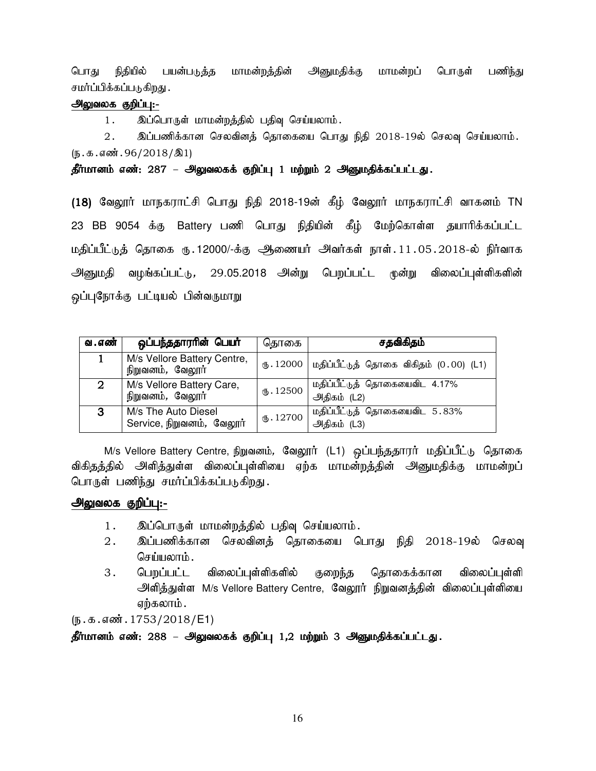பொது நிதியில் பயன்படுத்த மாமன்றத்தின் அனுமதிக்கு மாமன்றப் பொருள் பணிந்து சமர்ப்பிக்கப்படுகிறது .

## அலுவலக குறிப்பு:-

1. இப்பொருள் மாமன்றத்தில் பதிவு செய்யலாம்.

 $2.$  இப்பணிக்கான செலவினத் தொகையை பொது நிதி  $2018$ -19ல் செலவு செய்யலாம்.  $(\mathfrak{h}.\mathfrak{g}.\mathfrak{g}.$ ளன். 96/2018/ $\mathfrak{A}1$ 

தீர்மானம் எண்: 287 – அலுவலகக் குறிப்பு 1 மற்றும் 2 அனுமதிக்கப்பட்டது.

(18) வேலூர் மாநகராட்சி பொது நிதி 2018-19ன் கீழ் வேலூர் மாநகராட்சி வாகனம் TN 23 BB 9054 க்கு Battery பணி பொது நிதியின் கீழ் மேற்கொள்ள தயாரிக்கப்பட்ட மதிப்பீட்டுத் தொகை ரு.12000/-க்கு ஆணையர் அவர்கள் நாள்.11.05.2018-ல் நிர்வாக அனுமதி வழங்கப்பட்டு, 29.05.2018 அன்று பெறப்பட்ட முன்று விலைப்புள்ளிகளின் ஒப்புநோக்கு பட்டியல் பின்வருமாறு

| வ . எண்        | ஒப்பந்ததாரரின் பெயர்                             | தொகை      | சதவிகிதம்                                            |
|----------------|--------------------------------------------------|-----------|------------------------------------------------------|
|                | M/s Vellore Battery Centre,<br>நிறுவனம், வேலூர்  |           | ரு. 12000   மதிப்பீட்டுத் தொகை விகிதம் $(0.00)$ (L1) |
| $\overline{2}$ | M/s Vellore Battery Care,<br>நிறுவனம், வேலூர்    | (B.12500) | மதிப்பீட்டுத் தொகையைவிட 4.17%<br>அதிகம் (L2)         |
| 3              | M/s The Auto Diesel<br>Service, நிறுவனம், வேலூர் | (D.12700) | மதிப்பீட்டுத் தொகையைவிட 5.83%<br>அதிகம் (L3)         |

M/s Vellore Battery Centre, நிறுவனம், வேலூர் (L1) ஒப்பந்ததாரர் மதிப்பீட்டு தொகை விகிதத்தில் அளித்துள்ள விலைப்புள்ளியை ஏற்க மாமன்றத்தின் அனுமதிக்கு மாமன்றப் பொருள் பணிந்து சமர்ப்பிக்கப்படுகிறது.

## அலுவலக குறிப்பு:-

- 1. இப்பொருள் மாமன்றத்தில் பதிவு செய்யலாம்.
- 2. இப்பணிக்கான செலவினத் தொகையை பொது நிதி 2018-19ல் செலவு செய்யலாம்.
- 3. பெறப்பட்ட விலைப்புள்ளிகளில் குறைந்த தொகைக்கான விலைப்புள்ளி அளித்துள்ள M/s Vellore Battery Centre, வேலூர் நிறுவனத்தின் விலைப்புள்ளியை ஏற்கலாம் .

 $(\mathbf{b}.\mathbf{b}.\mathbf{a}.\mathbf{a}$ ண். 1753/2018/E1)

## தீர்மானம் எண்: 288 – அலுவலகக் குறிப்பு 1,2 மற்றும் 3 அனுமதிக்கப்பட்டது.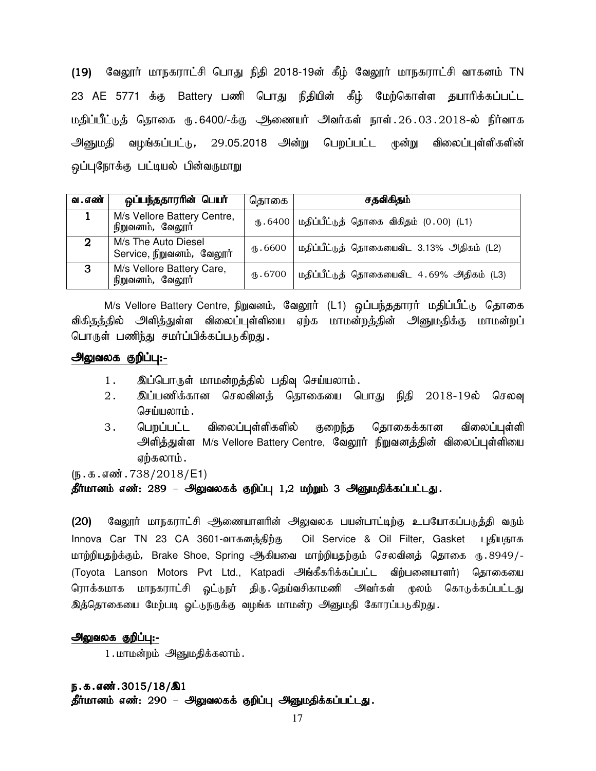(19) வேலூர் மாநகராட்சி பொது நிதி 2018-19ன் கீழ் வேலூர் மாநகராட்சி வாகனம் TN 23 AE 5771 க்கு Battery பணி பொது நிதியின் கீழ் மேற்கொள்ள தயாரிக்கப்பட்ட மதிப்பீட்டுத் தொகை ரு. 6400/-க்கு ஆணையர் அவர்கள் நாள். 26.03.2018-ல் நிர்வாக <u>அனுமதி</u> வழங்கப்பட்டு, 29.05.2018 அன்று பெறப்பட்ட முன்று விலைப்புள்ளிகளின் ஒப்புநோக்கு பட்டியல் பின்வருமாறு

| வ . எண் | ஒப்பந்ததாரரின் பெயர்                             | தொகை                 | சதவிகிதம்                                           |
|---------|--------------------------------------------------|----------------------|-----------------------------------------------------|
|         | M/s Vellore Battery Centre,<br>நிறுவனம், வேலூர்  |                      | ரு. 6400   மதிப்பீட்டுத் தொகை விகிதம் $(0.00)$ (L1) |
| 2       | M/s The Auto Diesel<br>Service, நிறுவனம், வேலூர் | <sub>(</sub> 15.6600 | மதிப்பீட்டுத் தொகையைவிட 3.13% அதிகம் (L2)           |
| 3       | M/s Vellore Battery Care,<br>நிறுவனம், வேலூர்    | (B.6700)             | மதிப்பீட்டுத் தொகையைவிட 4.69% அதிகம் (L3)           |

M/s Vellore Battery Centre, நிறுவனம், வேலூர் (L1) ஒப்பந்ததாரர் மதிப்பீட்டு தொகை விகிதத்தில் அளித்துள்ள விலைப்புள்ளியை ஏற்க மாமன்றத்தின் அனுமதிக்கு மாமன்றப் பொருள் பணிந்து சமர்ப்பிக்கப்படுகிறது.

#### அலுவலக குறிப்பு:-

- 1. இப்பொருள் மாமன்றத்தில் பதிவு செய்யலாம்.
- 2. இப்பணிக்கான செலவினத் தொகையை பொது நிதி 2018-19ல் செலவு செய்யலாம்.
- 3. பெறப்பட்ட விலைப்புள்ளிகளில் குறைந்த தொகைக்கான விலைப்புள்ளி அளித்துள்ள M/s Vellore Battery Centre, வேலூர் நிறுவனத்தின் விலைப்புள்ளியை ஏற்கலாம்.

 $(n.5.5.5)$ ன். 738/2018/E1)

#### தீர்மானம் எண்: 289 – அலுவலகக் குறிப்பு 1,2 மற்றும் 3 அனுமதிக்கப்பட்டது.

(20) வேலூர் மாநகராட்சி ஆணையாளரின் அலுவலக பயன்பாட்டிற்கு உபயோகப்படுத்தி வரும் Innova Car TN 23 CA 3601-வாகனத்திற்கு Oil Service & Oil Filter, Gasket புதியதாக மாற்றியதற்க்கும், Brake Shoe, Spring ஆகியவை மாற்றியதற்கும் செலவினத் தொகை ரு.8949/-(Toyota Lanson Motors Pvt Ltd., Katpadi அங்கீகரிக்கப்பட்ட விற்பனையாளர்) தொகையை ரொக்கமாக மாநகராட்சி ஓட்டுநர் திரு இத்தொகையை மேற்படி ஓட்டுநருக்கு வழங்க மாமன்ற அனுமதி கோரப்படுகிறது.

#### அலுவலக குறிப்பு:-

 $1.\text{m}$ மாமன்றம் அனுமதிக்கலாம்.

## ந.க.எண்.3015/18/இ1 தீர்மானம் எண்: 290 – அலுவலகக் குறிப்பு அனுமதிக்கப்பட்டது.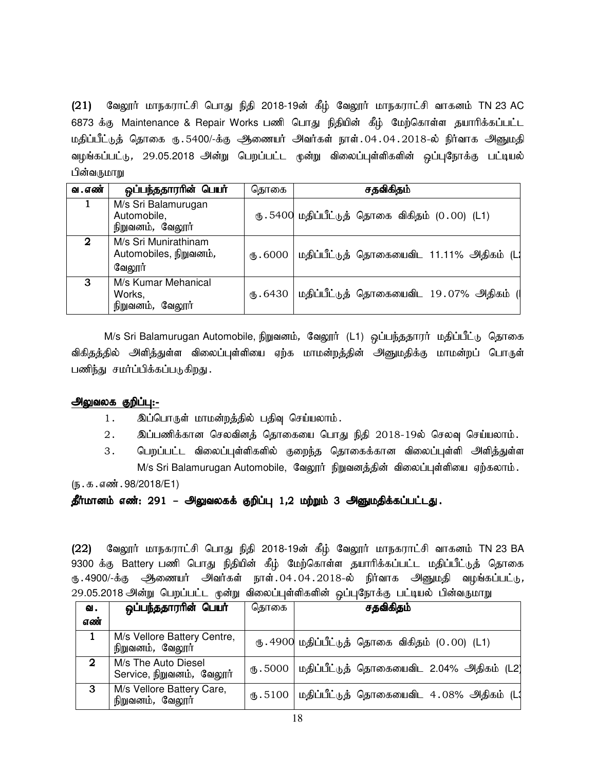(21) வேலூர் மாநகராட்சி பொது நிதி 2018-19ன் கீழ் வேலூர் மாநகராட்சி வாகனம் TN 23 AC 6873 க்கு Maintenance & Repair Works பணி பொது நிதியின் கீழ் மேற்கொள்ள தயாரிக்கப்பட்ட மதிப்பீட்டுத் தொகை ரு.5400/-க்கு ஆணையர் அவர்கள் நாள்.04.04.2018-ல் நிர்வாக அனுமதி வழங்கப்பட்டு, 29.05.2018 அன்று பெறப்பட்ட முன்று விலைப்புள்ளிகளின் ஒப்புநோக்கு பட்டியல் பின்வருமாறு

| வ . எண் | ஒப்பந்ததாரரின் பெயர்                                     | தொகை     | சதவிகிதம்                                         |
|---------|----------------------------------------------------------|----------|---------------------------------------------------|
|         | M/s Sri Balamurugan<br>Automobile,<br>நிறுவனம், வேலூர்   |          | ரு. 5400 மதிப்பீட்டுத் தொகை விகிதம் $(0.00)$ (L1) |
| 2       | M/s Sri Munirathinam<br>Automobiles, நிறுவனம்,<br>வேலூர் | (15.6000 | மதிப்பீட்டுத் தொகையைவிட 11.11% அதிகம் (L          |
| 3       | M/s Kumar Mehanical<br>Works,<br>நிறுவனம், வேலூர்        | (b.6430) | மதிப்பீட்டுத் தொகையைவிட 19.07% அதிகம் (           |

M/s Sri Balamurugan Automobile, நிறுவனம், வேலூர் (L1) ஒப்பந்ததாரர் மதிப்பீட்டு தொகை விகிதத்தில் அளித்துள்ள விலைப்புள்ளியை ஏற்க மாமன்றத்தின் அனுமதிக்கு மாமன்றப் பொருள் பணிந்து சமர்ப்பிக்கப்படுகிறது.

### அலுவலக குறிப்பு:-

- 1. இப்பொருள் மாமன்றத்தில் பதிவு செய்யலாம்.
- $2.$  இப்பணிக்கான செலவினத் தொகையை பொது நிதி  $2018$ -19ல் செலவு செய்யலாம்.
- 3. பெறப்பட்ட விலைப்புள்ளிகளில் குறைந்த தொகைக்கான விலைப்புள்ளி அளித்துள்ள M/s Sri Balamurugan Automobile, வேலூர் நிறுவனத்தின் விலைப்புள்ளியை ஏற்கலாம்.

 $(5.5.5.5\,\text{m}^3.98/2018/E1)$ 

தீர்மானம் எண்: 291 – அலுவலகக் குறிப்பு 1,2 மற்றும் 3 அனுமதிக்கப்பட்டது.

(22) மேலூர் மாநகராட்சி பொது நிதி 2018-19ன் கீழ் வேலூர் மாநகராட்சி வாகனம் TN 23 BA 9300 க்கு Battery பணி பொது நிதியின் கீழ் மேற்கொள்ள தயாரிக்கப்பட்ட மதிப்பீட்டுத் தொகை ரு.4900/-க்கு ஆணையர் அவர்கள் நாள்.04.04.2018-ல் நிர்வாக அனுமதி வழங்கப்பட்டு, 29.05.2018 அன்று பெறப்பட்ட முன்று விலைப்புள்ளிகளின் ஒப்புநோக்கு பட்டியல் பின்வருமாறு

| வ.          | ஒப்பந்ததாரரின் பெயர்                             | தொகை | சதவிகிதம்                                            |
|-------------|--------------------------------------------------|------|------------------------------------------------------|
| எண்         |                                                  |      |                                                      |
|             | M/s Vellore Battery Centre,<br>நிறுவனம், வேலூர்  |      | ரு. 4900 மதிப்பீட்டுத் தொகை விகிதம் $(0.00)$ (L1)    |
| $\mathbf 2$ | M/s The Auto Diesel<br>Service, நிறுவனம், வேலூர் |      | ரு. 5000   மதிப்பீட்டுத் தொகையைவிட 2.04% அதிகம் (L2) |
| 3           | M/s Vellore Battery Care,<br>நிறுவனம், வேலூர்    |      | ரு. 5100   மதிப்பீட்டுத் தொகையைவிட 4.08% அதிகம் (L   |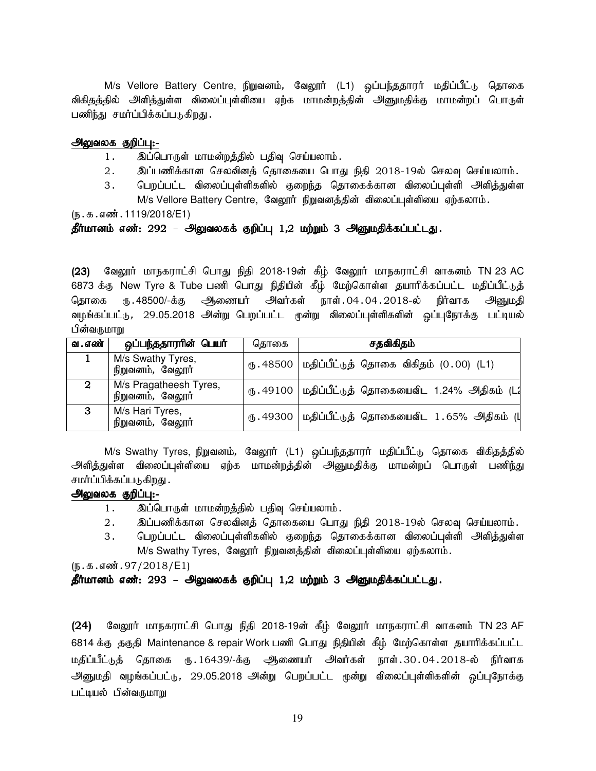M/s Vellore Battery Centre, நிறுவனம், வேலூர் (L1) ஒப்பந்ததாரர் மதிப்பீட்டு தொகை விகிதத்தில் அளித்துள்ள விலைப்புள்ளியை ஏற்க மாமன்றத்தின் அனுமதிக்கு மாமன்றப் பொருள் பணிந்து சமர்ப்பிக்கப்படுகிறது.

#### அலுவலக குறிப்பு:-

- 1. இப்பொருள் மாமன்றத்தில் பதிவு செய்யலாம்.
- $2.$  இப்பணிக்கான செலவினத் தொகையை பொது நிதி  $2018$ -19ல் செலவு செய்யலாம்.
- 3. பெறப்பட்ட விலைப்புள்ளிகளில் குறைந்த தொகைக்கான விலைப்புள்ளி அளித்துள்ள

M/s Vellore Battery Centre, வேலூர் நிறுவனத்தின் விலைப்புள்ளியை ஏற்கலாம்.

 $(5.5.5.5\ldots, 1119/2018/E1)$ 

## தீர்மானம் எண்: 292 – அலுவலகக் குறிப்பு 1,2 மற்றும் 3 அனுமதிக்கப்பட்டது.

(23) வேலூர் மாநகராட்சி பொது நிதி 2018-19ன் கீழ் வேலூர் மாநகராட்சி வாகனம் TN 23 AC 6873 க்கு New Tyre & Tube பணி பொது நிதியின் கீழ் மேற்கொள்ள தயாரிக்கப்பட்ட மதிப்பீட்டுத் தொகை ரூ.48500/-க்கு ஆணையர் அவர்கள் நாள்.04.04.2018-ல் நிர்வாக அனுமதி வழங்கப்பட்டு, 29.05.2018 அன்று பெறப்பட்ட முன்று விலைப்புள்ளிகளின் ஒப்புநோக்கு பட்டியல் பின்வருமாறு

| வ . எண் | ஒப்பந்ததாரரின் பெயர்                       | கொகை | சதவிகிதம்                                               |
|---------|--------------------------------------------|------|---------------------------------------------------------|
|         | M/s Swathy Tyres,<br>நிறுவனம், வேலூர்      |      | ரு. 48500   மதிப்பீட்டுத் தொகை விகிதம் $(0.00)$ (L1)    |
| 2       | M/s Pragatheesh Tyres,<br>நிறுவனம், வேலூர் |      | ரு. 49100   மதிப்பீட்டுத் தொகையைவிட 1.24% அதிகம் (L2    |
| 3       | M/s Hari Tyres,<br>நிறுவனம், வேலூர்        |      | ரு . 49300   மதிப்பீட்டுத் தொகையைவிட 1 . 65% அதிகம் (பு |

M/s Swathy Tyres, நிறுவனம், வேலூர் (L1) ஒப்பந்ததாரர் மதிப்பீட்டு தொகை விகிதத்தில் அளித்துள்ள விலைப்புள்ளியை ஏற்க மாமன்றத்தின் அனுமதிக்கு மாமன்றப் பொருள் பணிந்து சமர்ப்பிக்கப்படுகிறது .

#### அலுவலக குறிப்பு:-

- 1. இப்பொருள் மாமன்றத்தில் பதிவு செய்யலாம்.
- $2.$   $\;$  இப்பணிக்கான செலவினத் தொகையை பொது நிதி 2018-19ல் செலவு செய்யலாம்.
- 3. பெறப்பட்ட விலைப்புள்ளிகளில் குறைந்த தொகைக்கான விலைப்புள்ளி அளித்துள்ள M/s Swathy Tyres, வேலூர் நிறுவனத்தின் விலைப்புள்ளியை ஏற்கலாம்.

 $(5.5.5.5\,\text{m}^3.97/2018/\text{E}$ 

தீர்மானம் எண்: 293 – அலுவலகக் குறிப்பு 1,2 மற்றும் 3 அனுமதிக்கப்பட்டது.

(24) வேலூர் மாநகராட்சி பொது நிதி 2018-19ன் கீழ் வேலூர் மாநகராட்சி வாகனம் TN 23 AF 6814 க்கு தகுதி Maintenance & repair Work பணி பொது நிதியின் கீழ் மேற்கொள்ள தயாரிக்கப்பட்ட மதிப்பீட்டுக் தொகை ரு.16439/-க்கு ஆணையர் அவர்கள் நாள்.30.04.2018-ல் நிர்வாக அனுமதி வழங்கப்பட்டு, 29.05.2018 அன்று பெறப்பட்ட முன்று விலைப்புள்ளிகளின் ஒப்புநோக்கு பட்டியல் பின்வருமாறு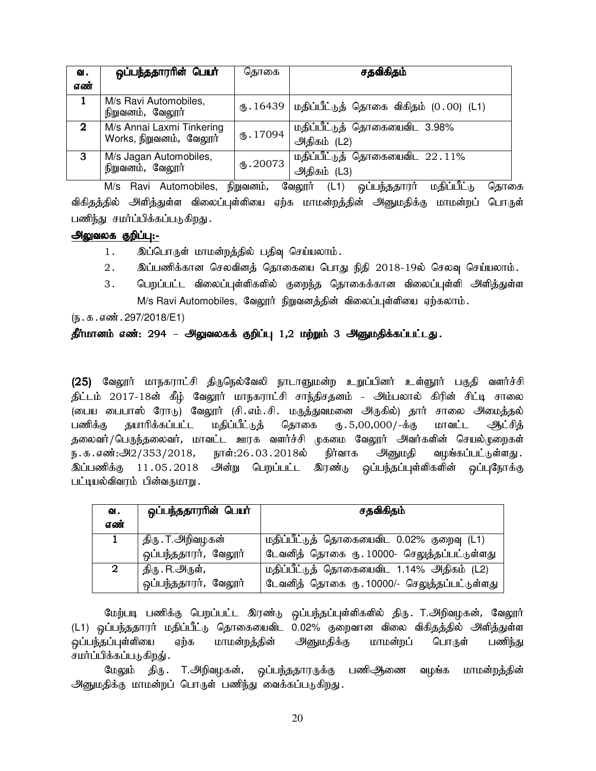| வ.           | ஒப்பந்ததாரரின் பெயர்                                 | தொகை            | சதவிகிதம்                                     |
|--------------|------------------------------------------------------|-----------------|-----------------------------------------------|
| எண்          |                                                      |                 |                                               |
|              | M/s Ravi Automobiles,<br>நிறுவனம், வேலூர்            | (B.16439)       | மதிப்பீட்டுத் தொகை விகிதம் (0.00) (L1)        |
| $\mathbf{2}$ | M/s Annai Laxmi Tinkering<br>Works, நிறுவனம், வேலூர் | $\times 17094$  | மதிப்பீட்டுத் தொகையைவிட 3.98%<br>அதிகம் (L2)  |
| 3            | M/s Jagan Automobiles,<br>நிறுவனம், வேலூர்           | $\times$ .20073 | மதிப்பீட்டுத் தொகையைவிட 22.11%<br>அதிகம் (L3) |

 $M/s$  Ravi Automobiles, நிறுவனம், வேலூர் (L1) ஒப்பந்ததாரர் மதிப்பீட்டு தொகை விகிதத்தில் அளித்துள்ள விலைப்புள்ளியை ஏற்க மாமன்றத்தின் அனுமதிக்கு மாமன்றப் பொருள் பணிந்து சமர்ப்பிக்கப்படுகிறது.

## அலுவலக குறிப்பு:-

- 1. இப்பொருள் மாமன்றத்தில் பதிவு செய்யலாம்.
- 2. இப்பணிக்கான செலவினத் தொகையை பொது நிதி 2018-19ல் செலவு செய்யலாம்.
- 3. பெறப்பட்ட விலைப்புள்ளிகளில் குறைந்த தொகைக்கான விலைப்புள்ளி அளித்துள்ள  $M/s$  Ravi Automobiles, வேலூர் நிறுவனத்தின் விலைப்புள்ளியை ஏற்கலாம்.

 $(5.5.5.5\,\text{m}^3.297/2018/E1)$ 

## தீர்மானம் எண்: 294 – அலுவலகக் குறிப்பு 1,2 மற்றும் 3 அனுமதிக்கப்பட்டது.

(25) வேலூர் மாநகராட்சி திருநெல்வேலி நாடாளுமன்ற உறுப்பினர் உள்ளூர் பகுதி வளர்ச்சி திட்டம் 2017-18ன் கீழ் வேலூர் மாநகராட்சி சாந்திசதனம் - அம்பலால் கிரின் சிட்டி சாலை (டைய பைபாஸ் ரோடு) வேலூர் (சி.எம்.சி. மருத்துவமனை அருகில்) தார் சாலை அமைத்தல் பணிக்கு தயாரிக்கப்பட்ட மதிப்பீட்டுத் தொகை ரு.5,00,000/-க்கு மாவட்ட ஆட்சித் தலைவர்/பெருந்தலைவர், மாவட்ட ஊரக வளர்ச்சி முகமை வேலூர் அவர்களின் செயல்முறைகள் ந.க.எண்:அ $2/353/2018$ , நாள்:26 $.03.2018$ ல் நிர்வாக அனுமதி வழங்கப்பட்டுள்ளது. <u>இப்பணிக்கு</u> 11.05.2018 அன்று பெறப்பட்ட இரண்டு ஒப்பந்தப்புள்ளிகளின் ஒப்புநோக்கு பட்டியல்விவரம் பின்வருமாறு.

| ഖ.  | ஒப்பந்ததாரரின் பெயர்       | சதவிகிதம்                                    |  |  |
|-----|----------------------------|----------------------------------------------|--|--|
| எண் |                            |                                              |  |  |
|     | திரு . T. <i>அ</i> றிவழகன் | மதிப்பீட்டுத் தொகையைவிட 0.02% குறைவு (L1)    |  |  |
|     | ஒப்பந்ததாரர், வேலூர்       | டேவனித் தொகை ரு. 10000- செலுத்தப்பட்டுள்ளது  |  |  |
| 2   | திரு . R.அருள் <i>,</i>    | மதிப்பீட்டுத் தொகையைவிட 1.14% அதிகம் (L2)    |  |  |
|     | ஒப்பந்ததாரர், வேலூர்       | டேவனித் தொகை ரு. 10000/- செலுத்தப்பட்டுள்ளது |  |  |

மேற்படி பணிக்கு பெறப்பட்ட இரண்டு ஒப்பந்தப்புள்ளிகளில் திரு. T.அறிவழகன், வேலூர் (L1) ஒப்பந்ததாரர் மதிப்பீட்டு தொகையைவிட 0.02% குறைவான விலை விகிதத்தில் அளித்துள்ள ஒப்பந்தப்புள்ளியை ஏற்க மாமன்றத்தின் அனுமதிக்கு மாமன்றப் பொருள் பணிந்து சமர்ப்பிக்கப்படுகிறது் .

மேலும் திரு. T.அறிவழகன், ஒப்பந்ததாரருக்கு பணிஅிணை வழங்க மாமன்றத்தின் அனுமதிக்கு மாமன்றப் பொருள் பணிந்து வைக்கப்படுகிறது.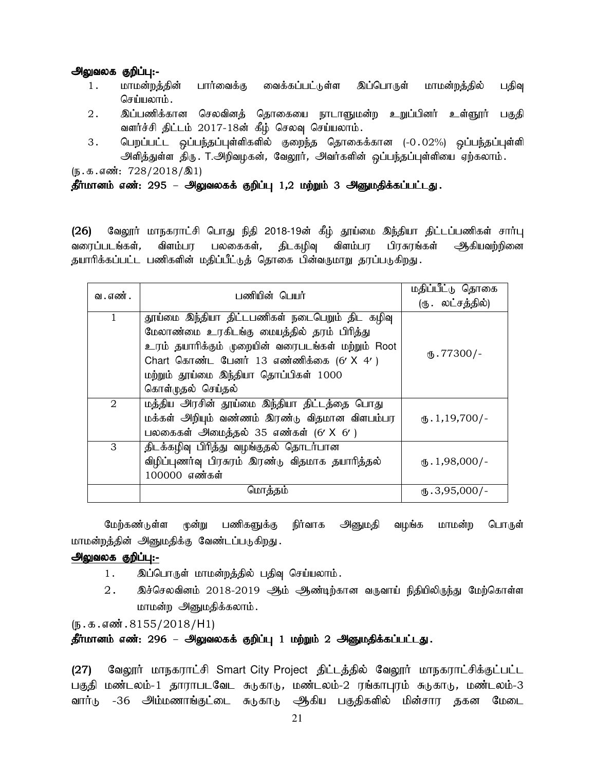- 1. மாமன்றத்தின் பார்வைக்கு வைக்கப்பட்டுள்ள இப்பொருள் மாமன்றத்தில் பதிவு செய்யலாம்.
- 2. இப்பணிக்கான செலவினத் தொகையை நாடாளுமன்ற உறுப்பினர் உள்ளூர் பகுதி வளர்ச்சி திட்டம் 2017-18ன் கீழ் செலவு செய்யலாம்.
- 3. பெறப்பட்ட ஒப்பந்தப்புள்ளிகளில் குறைந்த தொகைக்கான (-0.02%) ஒப்பந்தப்புள்ளி அளித்துள்ள திரு. T.அறிவழகன், வேலூர், அவர்களின் ஒப்பந்தப்புள்ளியை ஏற்கலாம்.

 $(5.5.5 \text{ s} \cdot \text{m} \cdot 728/2018/\text{m}1)$ 

## தீர்மானம் எண்: 295 – அலுவலகக் குறிப்பு 1,2 மற்றும் 3 அனுமதிக்கப்பட்டது.

(26) வேலூர் மாநகராட்சி பொது நிதி 2018-19ன் கீழ் தூய்மை இந்தியா திட்டப்பணிகள் சார்பு<br>வரைப்படங்கள், விளம்பர பலகைகள், திடகழிவு விளம்பர பிரசுரங்கள் ஆகியவற்றினை வரைப்படங்கள், விளம்பர பலகைகள், திடகழிவு விளம்பர பிரசுரங்கள் ஆகியவற்றினை தயாரிக்கப்பட்ட பணிகளின் மதிப்பீட்டுத் தொகை பின்வருமாறு தரப்படுகிறது.

| வ . எண் . | பணியின் பெயர்                                                                                                                                                                                   | மதிப்பீட்டு தொகை<br>(ரு. லட்சத்தில்) |
|-----------|-------------------------------------------------------------------------------------------------------------------------------------------------------------------------------------------------|--------------------------------------|
| 1         | தூய்மை இந்தியா திட்டபணிகள் நடைபெறும் திட கழிவு<br>மேலாண்மை உரகிடங்கு மையத்தில் தரம் பிரித்து<br>உரம் தயாரிக்கும் முறையின் வரைபடங்கள் மற்றும் Root<br>Chart கொண்ட பேனர் 13 எண்ணிக்கை (6' $X$ 4') | $\mathcal{L}$ .77300/-               |
|           | மற்றும் தூய்மை இந்தியா தொப்பிகள் 1000<br>கொள்முதல் செய்தல்                                                                                                                                      |                                      |
| 2         | மத்திய அரசின் தூய்மை இந்தியா திட்டத்தை பொது<br>மக்கள் அறியும் வண்ணம் இரண்டு விதமான விளபம்பர<br>பலகைகள் அமைத்தல் 35 எண்கள் (6' X 6' )                                                            | $\mathcal{F}_1$ . 1, 19, 700/-       |
| 3         | திடக்கழிவு பிரித்து வழங்குதல் தொடர்பான<br>விழிப்புணர்வு பிரசுரம் இரண்டு விதமாக தயாரித்தல்<br>100000 எண்கள்                                                                                      | $\mathbf{t}$ . 1,98,000/-            |
|           | மொத்தம்                                                                                                                                                                                         | $\text{I}$ .3,95,000/-               |

மேற்கண்டுள்ள முன்று பணிகளுக்கு நிர்வாக அனுமதி வழங்க மாமன்ற பொருள் மாமன்றத்தின் அனுமதிக்கு வேண்டப்படுகிறது.

## அலுவலக குறிப்பு:-

- 1. இப்பொருள் மாமன்றத்தில் பதிவு செய்யலாம்.
- $2.$  இச்செலவினம் 2018-2019 ஆம் ஆண்டிற்கான வருவாய் நிதியிலிருந்து மேற்கொள்ள மாமன்ற அனுமதிக்கலாம்.

 $(\mathfrak{h}.\mathfrak{g}.\mathfrak{g}.$ ளன். 8155/2018/H1)

## தீர்மானம் எண்: 296 – அலுவலகக் குறிப்பு 1 மற்றும் 2 அனுமதிக்கப்பட்டது.

(27) வேலூர் மாநகராட்சி Smart City Project திட்டத்தில் வேலூர் மாநகராட்சிக்குட்பட்ட பகுதி மண்டலம்-1 தாராபடவேட சுடுகாடு, மண்டலம்-2 ரங்காபுரம் சுடுகாடு, மண்டலம்-3 வார்டு -36 அம்மணாங்குட்டை சுடுகாடு ஆகிய பகுதிகளில் மின்சார தகன மேடை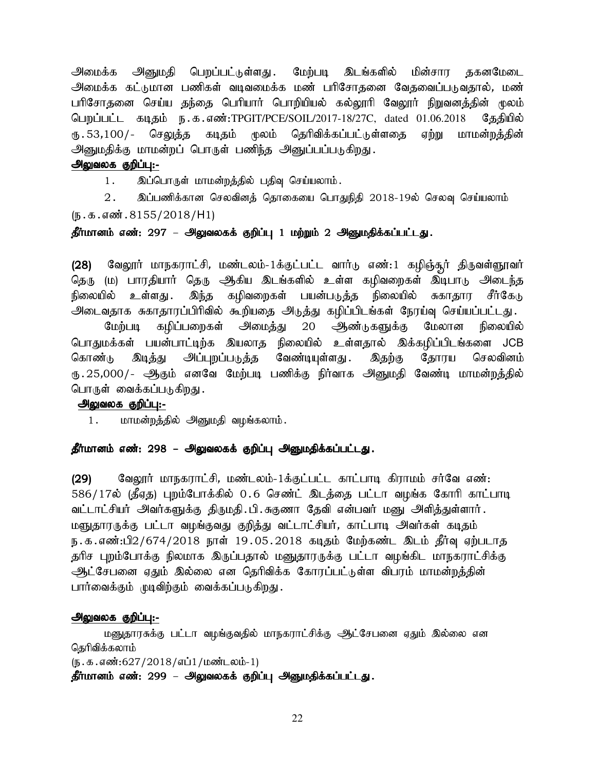அமைக்க அனுமதி பெறப்பட்டுள்ளது .மேற்படி இடங்களில் மின்சார தகனமேடை அமைக்க கட்டுமான பணிகள் வடிவமைக்க மண் பரிசோதனை வேதவைப்படுவதால், மண் பரிசோதனை செய்ய தந்தை பெரியார் பொறியியல் கல்லூரி வேலூர் நிறுவனத்தின் மூலம் பெறப்பட்ட கடிதம் ந.க.எண்:TPGIT/PCE/SOIL/2017-18/27C, dated 01.06.2018 தேதியில் ரூ , 53,100/- செ<u>லுத்த</u> கடிதம் முலம் தெரிவிக்கப்பட்டுள்ளதை ஏற்று மாமன்றத்தின் அனுமதிக்கு மாமன்றப் பொருள் பணிந்த அனுப்பப்படுகிறது.

### அலுவலக குறிப்பு:-

1. இப்பொருள் மாமன்றத்தில் பதிவு செய்யலாம்.

 $2.$  இப்பணிக்கான செலவினத் தொகையை பொதுநிதி 2018-19ல் செலவு செய்யலாம்  $(\mathfrak{h}.\mathfrak{g}.\mathfrak{g}.$ ள் $\mathfrak{g}.\mathfrak{g}.\mathfrak{g}$ .8155/2018/H1)

## தீர்மானம் எண்: 297 – அலுவலகக் குறிப்பு 1 மற்றும் 2 அனுமதிக்கப்பட்டது.

(28) மேலூர் மாநகராட்சி, மண்டலம்-1க்குட்பட்ட வார்டு எண்:1 கழிஞ்சூர் திருவள்ளூவர் தெரு (ம) பாரதியார் தெரு ஆகிய இடங்களில் உள்ள கழிவறைகள் இடிபாடு அடைந்த நிலையில் உள்ளது .இந்த கழிவறைகள் பயன்படுத்த நிலையில் சுகாதார சீர்கேடு அடைவதாக சுகாதாரப்பிரிவில் கூறியதை அடுத்து கழிப்பிடங்கள் நேரய்வு செய்யப்பட்டது.

மேற்படி கழிப்பறைகள் அமைத்து 20 ஆண்டுகளுக்கு மேலான நிலையில் பொதுமக்கள் பயன்பாட்டிற்க இயலாத நிலையில் உள்ளதால் இக்கழிப்பிடங்களை JCB கொண்டு இடித்து அப்புறப்படுத்த வேண்டியுள்ளது. இதற்கு தோரய செலவினம் ரு 25,000/- ஆகும் எனவே மேற்படி பணிக்கு நிர்வாக அனுமதி வேண்டி மாமன்றத்தில் பொருள் வைக்கப்படுகிறது.

### அலுவலக குறிப்பு:-

1. மாமன்றத்தில் அனுமதி வழங்கலாம்.

## தீர்மானம் எண்: 298 – அலுவலகக் குறிப்பு அனுமதிக்கப்பட்டது.

(29) வேலூர் மாநகராட்சி, மண்டலம்-1க்குட்பட்ட காட்பாடி கிராமம் சர்வே எண்: 586/17ல் (தீஏத) புறம்போக்கில் 0.6 செண்ட் இடத்தை பட்டா வழங்க கோரி காட்பாடி வட்டாட்சியர் அவர்களுக்கு திருமதி.பி.சுகுணா தேவி என்பவர் மனு அளித்துள்ளார். மளுதாரருக்கு பட்டா வழங்குவது குறித்து வட்டாட்சியர், காட்பாடி அவர்கள் கடிதம் ந.க.எண்:பி2/674/2018 நாள் 19.05.2018 கடிதம் மேற்கண்ட இடம் தீர்வு ஏற்படாத தரிச புறம்போக்கு நிலமாக இருப்பதால் மனுதாரருக்கு பட்டா வழங்கிட மாநகராட்சிக்கு ஆட்சேபனை ஏதும் இல்லை என தெரிவிக்க கோரப்பட்டுள்ள விபரம் மாமன்றத்தின் பார்வைக்கும் முடிவிற்கும் வைக்கப்படுகிறது.

#### அலுவலக குறிப்பு:-

மனுதாரசுக்கு பட்டா வழங்குவதில் மாநகராட்சிக்கு ஆட்சேபனை ஏதும் இல்லை என தெரிவிக்கலாம்  $(\mathfrak{g.5.4}$ னீ:627/2018/எப்1/மண்டலம்-1) தீர்மானம் எண்: 299 – அலுவலகக் குறிப்பு அனுமதிக்கப்பட்டது.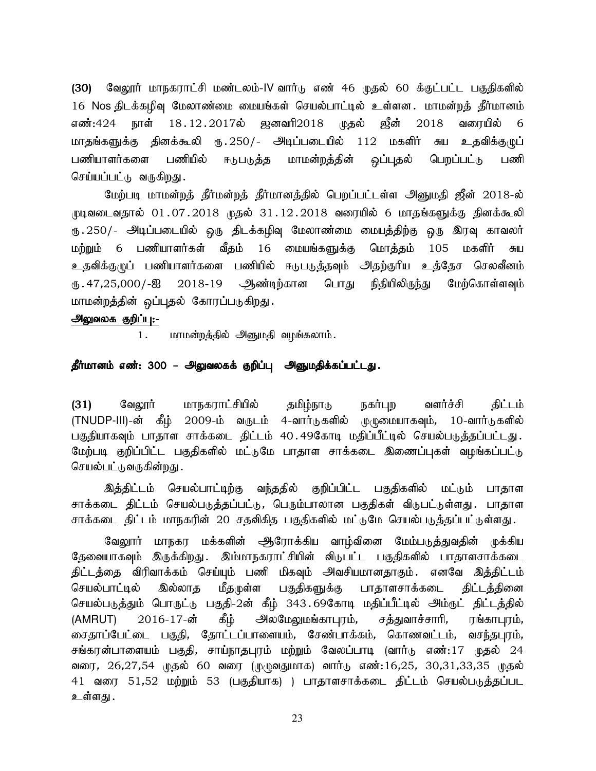(30) வேலூர் மாநகராட்சி மண்டலம்-IV வார்டு எண் 46 முதல் 60 க்குட்பட்ட பகுதிகளில் 16 Nos திடக்கழிவு மேலாண்மை மையங்கள் செயல்பாட்டில் உள்ளன. மாமன்றத் தீர்மானம் எண்:424 நாள் 18.12.2017ல் ஜனவரி2018 முதல் ஜீன் 2018 வரையில் 6 மாதங்களுக்கு தினக்கூலி ரு.250/- அடிப்படையில் 112 மகளிர் சுய உதவிக்குழுப் பணியாளர்களை பணியில் ஈடுபடுத்த மாமன்றத்தின் ஒப்புதல் பெறப்பட்டு பணி செய்யப்பட்டு வருகிறது.

மேற்படி மாமன்றத் தீர்மன்றத் தீர்மானத்தில் பெறப்பட்டள்ள அனுமதி ஜீன் 2018-ல்  $\mu$ டிவடைவதால் 01.07.2018 முதல் 31.12.2018 வரையில் 6 மாதங்களுக்கு தினக்கூலி ரு. 250/- அடிப்படையில் ஒரு திடக்கழிவு மேலாண்மை மையத்திற்கு ஒரு இரவு காவலர் மற்றும் 6 பணியாளர்கள் வீதம் 16 மையங்களுக்கு மொத்தம் 105 மகளிர் சுய உதவிக்குழுப் பணியாளர்களை பணியில் ஈடுபடுத்தவும் அதற்குரிய உத்தேச செலவீனம் ரு .47,25,000/-ஐ 2018-19 ஆண்டிற்கான பொது நிதியிலிருந்து மேற்கொள்ளவும் மாமன்றத்தின் ஒப்புதல் கோரப்படுகிறது.

## அலுவலக குறிப்பு:-

1. மாமன்றத்தில் அனுமதி வழங்கலாம்.

## தீர்மானம் எண்: 300 – அலுவலகக் குறிப்பு அனுமதிக்கப்பட்டது.

(31) வேலூர் மாநகராட்சியில் தமிழ்நாடு நகர்புற வளர்ச்சி திட்டம் (TNUDP-III)-ன் கீழ் 2009-ம் வருடம் 4-வார்டுகளில் முழுமையாகவும், 10-வார்டுகளில் பகுதியாகவும் பாதாள சாக்கடை திட்டம் 40.49கோடி மதிப்பீட்டில் செயல்படுத்தப்பட்டது. மேற்படி குறிப்பிட்ட பகுதிகளில் மட்டுமே பாதாள சாக்கடை இணைப்புகள் வழங்கப்பட்டு செயல்பட்டுவருகின்றது .

இத்திட்டம் செயல்பாட்டிற்கு வந்ததில் குறிப்பிட்ட பகுதிகளில் மட்டும் பாதாள சாக்கடை திட்டம் செயல்படுத்தப்பட்டு, பெரும்பாலான பகுதிகள் விடுபட்டுள்ளது. பாதாள சாக்கடை திட்டம் மாநகரின் 20 சதவிகித பகுதிகளில் மட்டுமே செயல்படுத்தப்பட்டுள்ளது.

வேலூர் மாநகர மக்களின் ஆரோக்கிய வாழ்வினை மேம்படுத்துவதின் முக்கிய தேவையாகவும் இருக்கிறது. இம்மாநகராட்சியின் விடுபட்ட பகுதிகளில் பாதாளசாக்கடை திட்டத்தை விரிவாக்கம் செய்யும் பணி மிகவும் அவசியமானதாகும். எனவே இத்திட்டம் செயல்பாட்டில் இல்லாத மீதமுள்ள பகுதிகளுக்கு பாதாளசாக்கடை திட்டத்தினை செயல்படுத்தும் பொருட்டு பகுதி-2ன் கீழ் 343.69கோடி மதிப்பீட்டில் அம்ருட் திட்டத்தில் (AMRUT) 2016-17-ன் கீழ் அலமேலுமங்காபுரம், சத்துவாச்சாரி, ரங்காபுரம், சைதாப்பேட்டை பகுதி, தோட்டப்பாளையம், சேண்பாக்கம், கொணவட்டம், வசந்தபுரம், சங்கரன்பாளையம் பகுதி, சாய்நாதபுரம் மற்றும் வேலப்பாடி (வார்டு எண்:17 முதல் 24 வரை, 26,27,54 முதல் 60 வரை (முழுவதுமாக) வார்டு எண்:16,25, 30,31,33,35 முதல் 41 வரை 51,52 மற்றும் 53 (பகுதியாக) ) பாதாளசாக்கடை திட்டம் செயல்படுத்தப்பட உள்ளது .

23